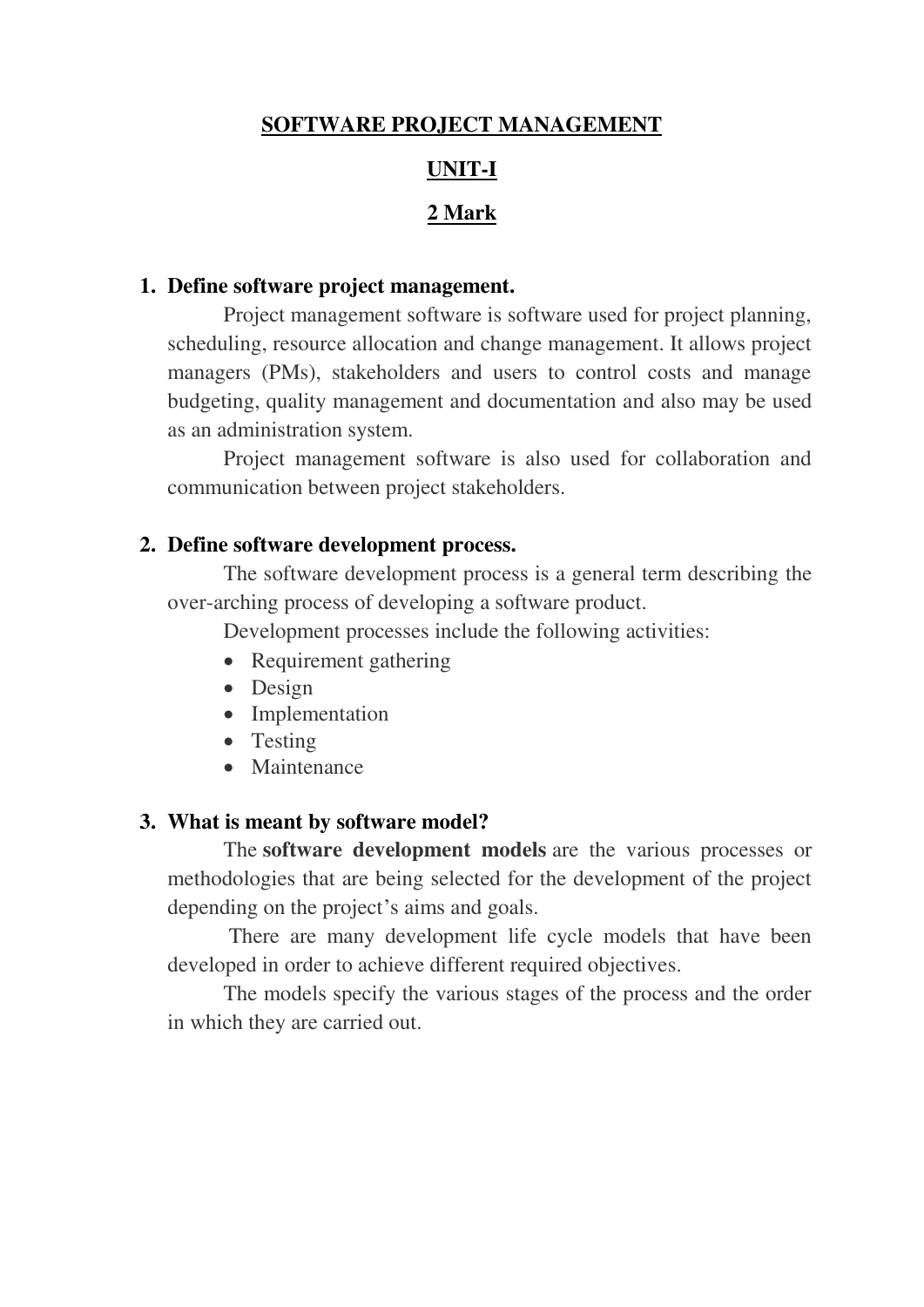# **SOFTWARE PROJECT MANAGEMENT**

## **UNIT-I**

## **2 Mark**

## **1. Define software project management.**

Project management software is software used for project planning, scheduling, resource allocation and change management. It allows project managers (PMs), stakeholders and users to control costs and manage budgeting, quality management and documentation and also may be used as an administration system.

Project management software is also used for collaboration and communication between project stakeholders.

#### **2. Define software development process.**

The software development process is a general term describing the over-arching process of developing a software product.

Development processes include the following activities:

- Requirement gathering
- Design
- Implementation
- Testing
- Maintenance

#### **3. What is meant by software model?**

The **software development models** are the various processes or methodologies that are being selected for the development of the project depending on the project's aims and goals.

 There are many development life cycle models that have been developed in order to achieve different required objectives.

The models specify the various stages of the process and the order in which they are carried out.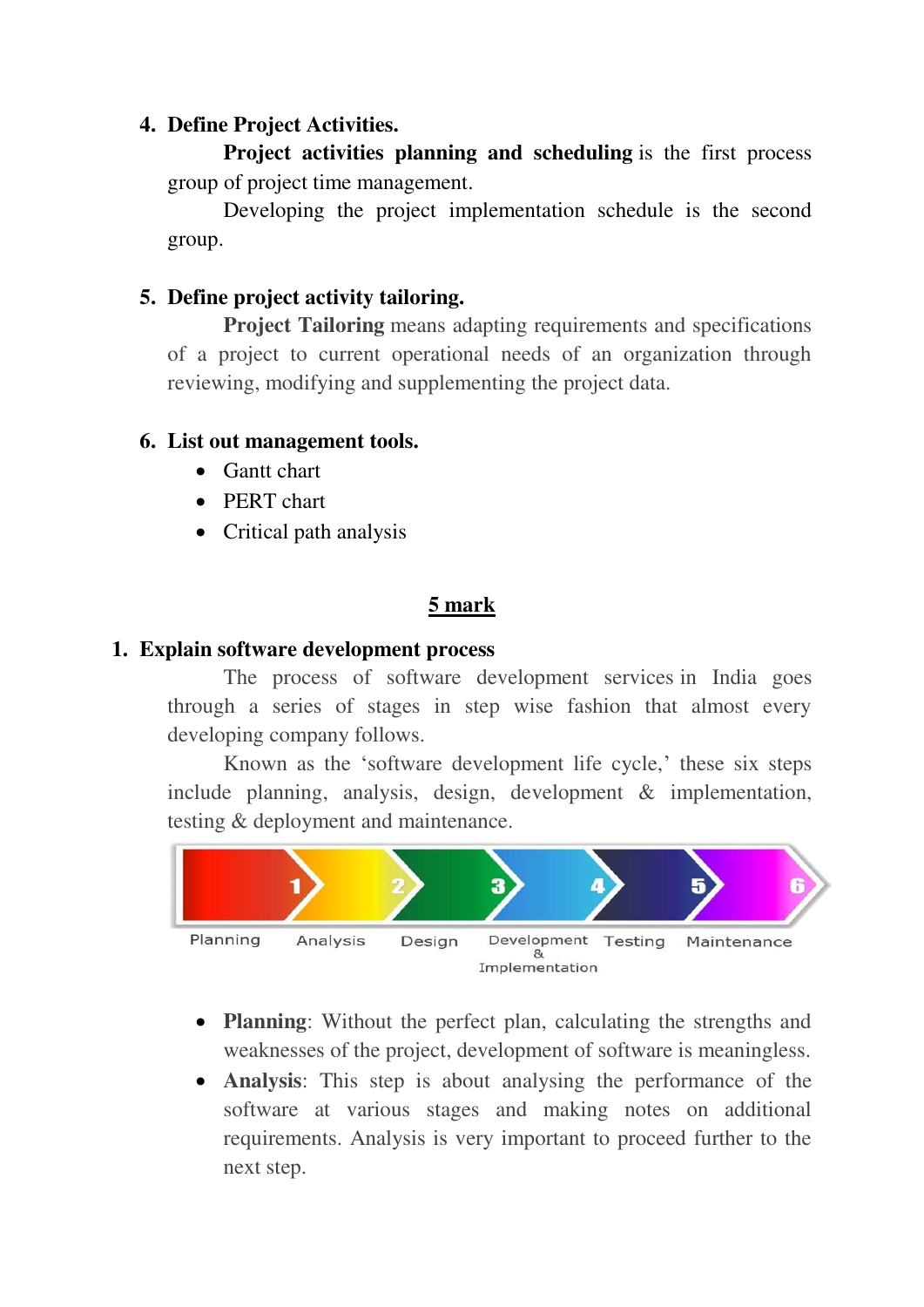## **4. Define Project Activities.**

**Project activities planning and scheduling** is the first process group of project time management.

Developing the project implementation schedule is the second group.

## **5. Define project activity tailoring.**

**Project Tailoring** means adapting requirements and specifications of a project to current operational needs of an organization through reviewing, modifying and supplementing the project data.

## **6. List out management tools.**

- Gantt chart
- PERT chart
- Critical path analysis

# **5 mark**

## **1. Explain software development process**

 The process of software development services in India goes through a series of stages in step wise fashion that almost every developing company follows.

Known as the 'software development life cycle,' these six steps include planning, analysis, design, development & implementation, testing & deployment and maintenance.



- **Planning**: Without the perfect plan, calculating the strengths and weaknesses of the project, development of software is meaningless.
- **Analysis**: This step is about analysing the performance of the software at various stages and making notes on additional requirements. Analysis is very important to proceed further to the next step.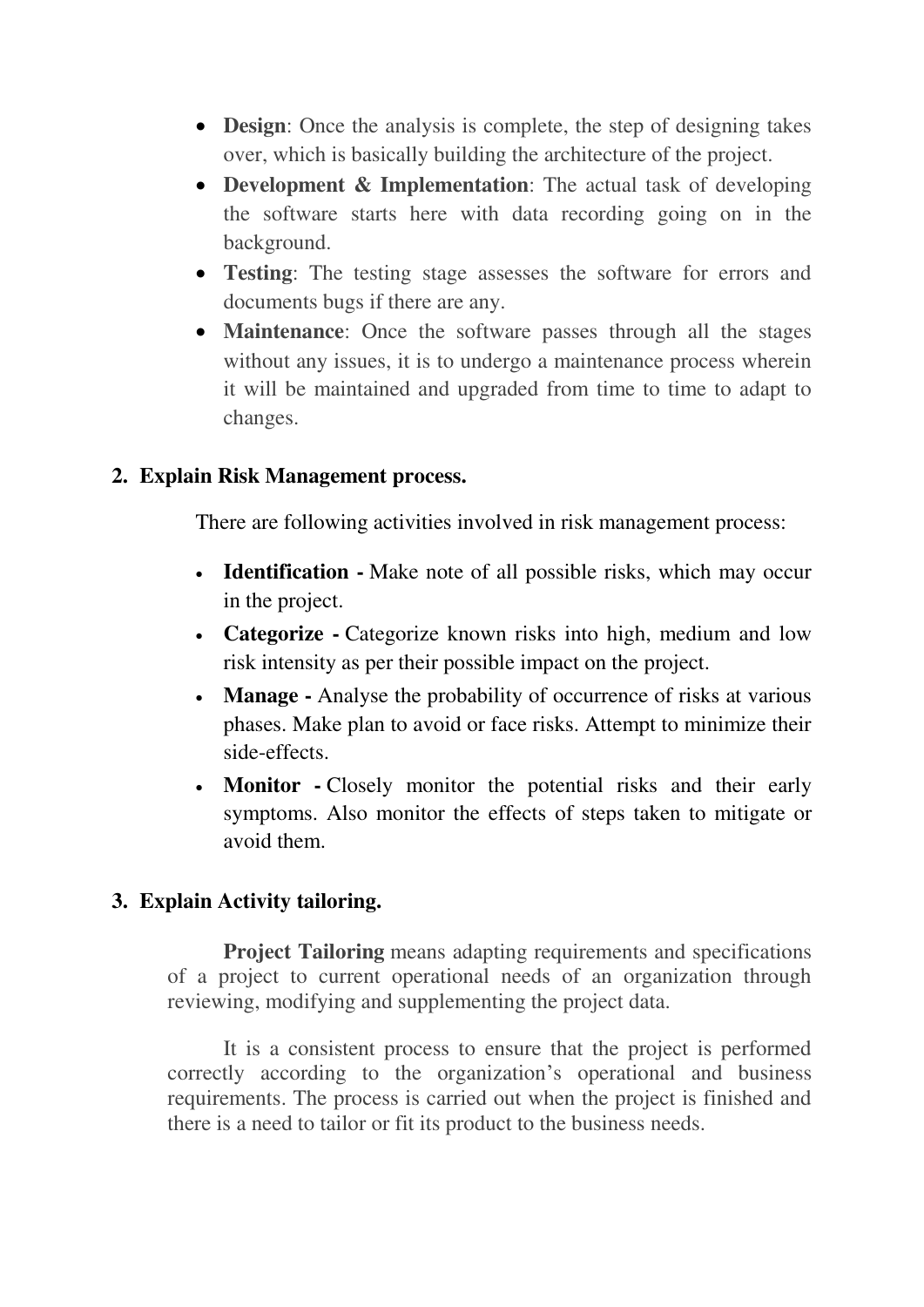- **Design**: Once the analysis is complete, the step of designing takes over, which is basically building the architecture of the project.
- **Development & Implementation**: The actual task of developing the software starts here with data recording going on in the background.
- **Testing**: The testing stage assesses the software for errors and documents bugs if there are any.
- **Maintenance**: Once the software passes through all the stages without any issues, it is to undergo a maintenance process wherein it will be maintained and upgraded from time to time to adapt to changes.

## **2. Explain Risk Management process.**

There are following activities involved in risk management process:

- **Identification** Make note of all possible risks, which may occur in the project.
- **Categorize** Categorize known risks into high, medium and low risk intensity as per their possible impact on the project.
- **Manage** Analyse the probability of occurrence of risks at various phases. Make plan to avoid or face risks. Attempt to minimize their side-effects.
- **Monitor** Closely monitor the potential risks and their early symptoms. Also monitor the effects of steps taken to mitigate or avoid them.

# **3. Explain Activity tailoring.**

**Project Tailoring** means adapting requirements and specifications of a project to current operational needs of an organization through reviewing, modifying and supplementing the project data.

It is a consistent process to ensure that the project is performed correctly according to the organization's operational and business requirements. The process is carried out when the project is finished and there is a need to tailor or fit its product to the business needs.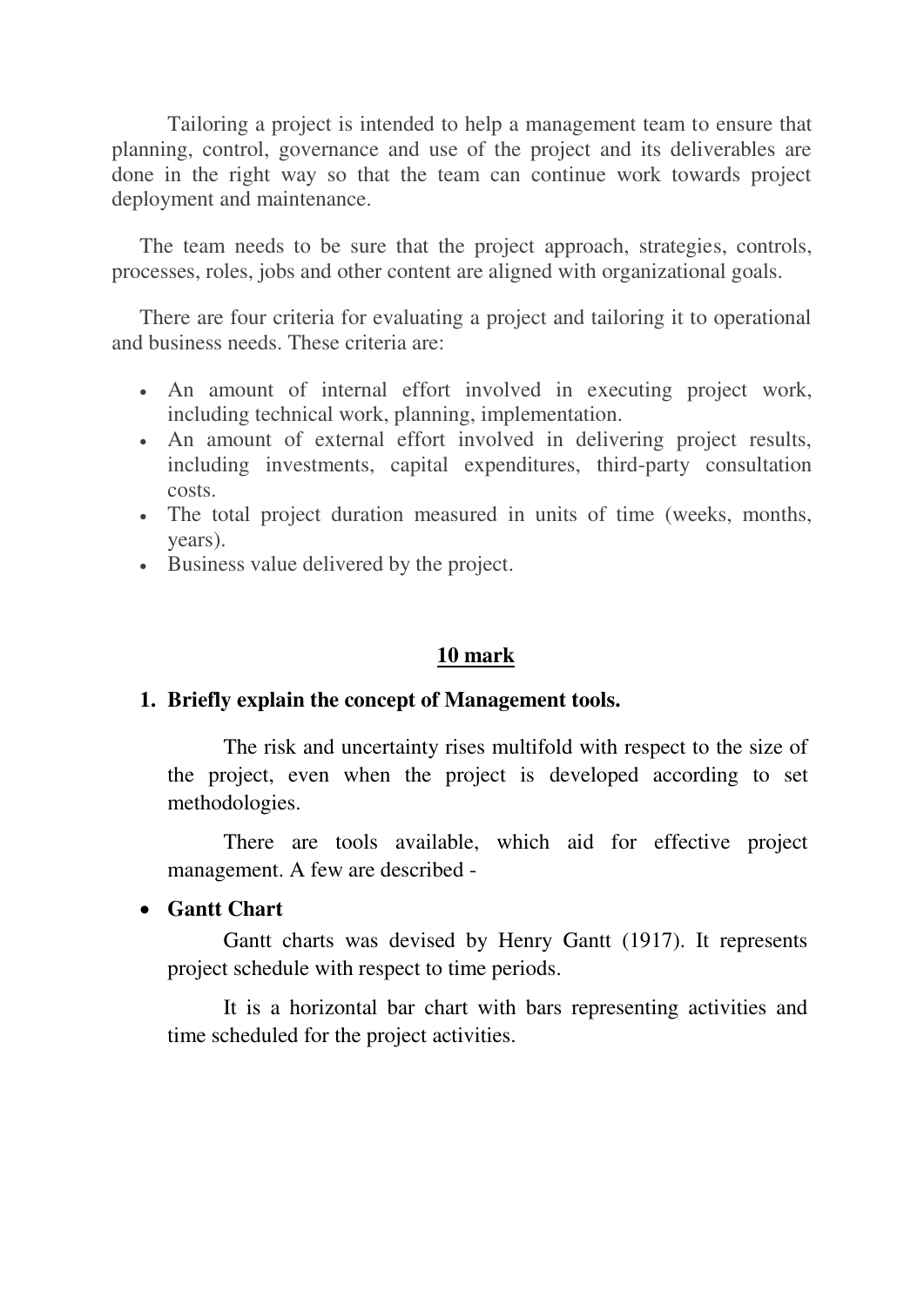Tailoring a project is intended to help a management team to ensure that planning, control, governance and use of the project and its deliverables are done in the right way so that the team can continue work towards project deployment and maintenance.

The team needs to be sure that the project approach, strategies, controls, processes, roles, jobs and other content are aligned with organizational goals.

There are four criteria for evaluating a project and tailoring it to operational and business needs. These criteria are:

- An amount of internal effort involved in executing project work, including technical work, planning, implementation.
- An amount of external effort involved in delivering project results, including investments, capital expenditures, third-party consultation costs.
- The total project duration measured in units of time (weeks, months, years).
- Business value delivered by the project.

#### **10 mark**

#### **1. Briefly explain the concept of Management tools.**

The risk and uncertainty rises multifold with respect to the size of the project, even when the project is developed according to set methodologies.

There are tools available, which aid for effective project management. A few are described -

#### **Gantt Chart**

Gantt charts was devised by Henry Gantt (1917). It represents project schedule with respect to time periods.

It is a horizontal bar chart with bars representing activities and time scheduled for the project activities.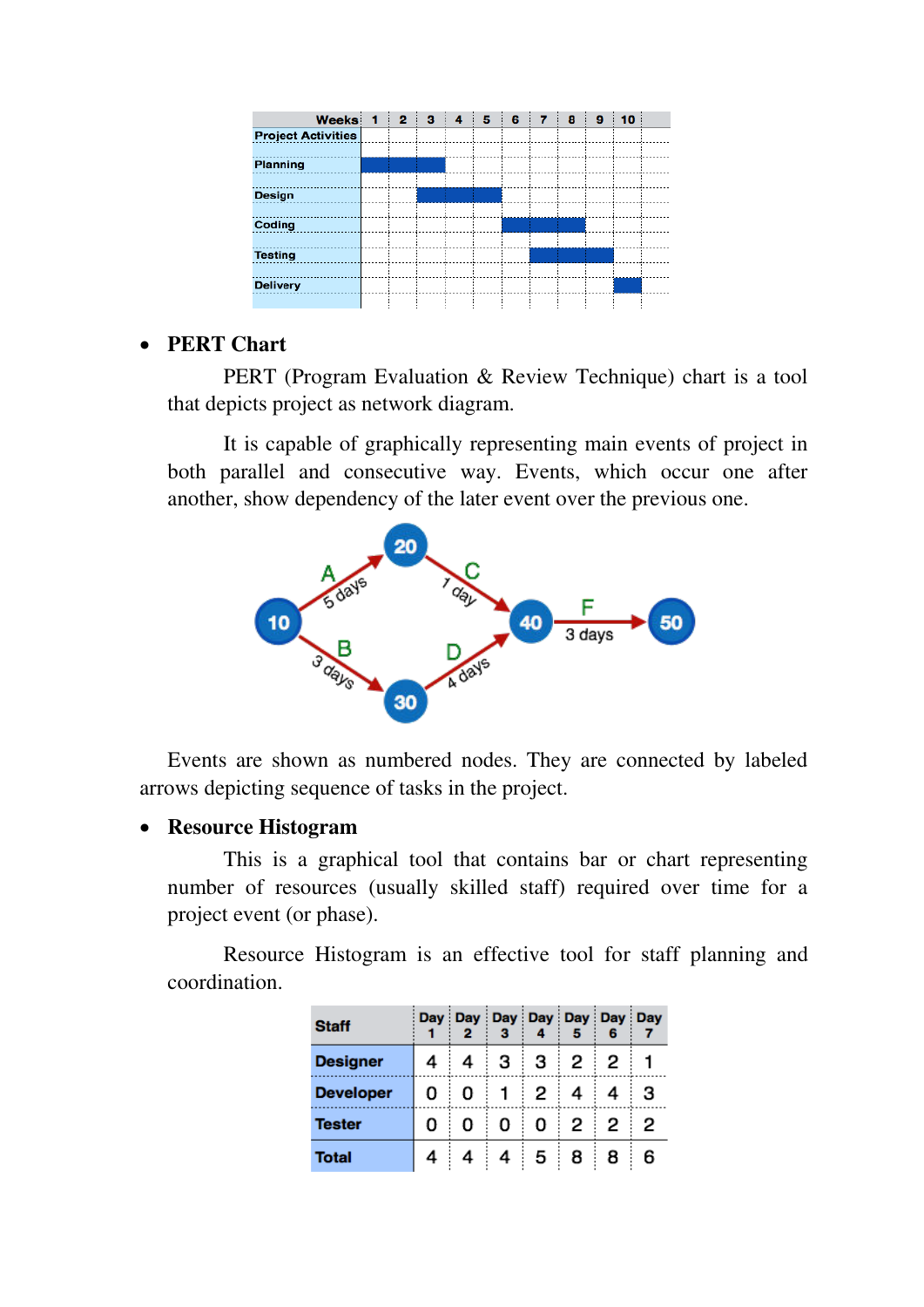| Weeks 1                   | $\overline{2}$ | з | 4 | 5 | 6 | 7 | 8 | 9 | 10 |  |
|---------------------------|----------------|---|---|---|---|---|---|---|----|--|
| <b>Project Activities</b> |                |   |   |   |   |   |   |   |    |  |
|                           |                |   |   |   |   |   |   |   |    |  |
| Planning                  |                |   |   |   |   |   |   |   |    |  |
|                           |                |   |   |   |   |   |   |   |    |  |
| Design                    |                |   |   |   |   |   |   |   |    |  |
|                           |                |   |   |   |   |   |   |   |    |  |
| Coding                    |                |   |   |   |   |   |   |   |    |  |
|                           |                |   |   |   |   |   |   |   |    |  |
| <b>Testing</b>            |                |   |   |   |   |   |   |   |    |  |
|                           |                |   |   |   |   |   |   |   |    |  |
| <b>Delivery</b>           |                |   |   |   |   |   |   |   |    |  |
|                           |                |   |   |   |   |   |   |   |    |  |

## **PERT Chart**

PERT (Program Evaluation & Review Technique) chart is a tool that depicts project as network diagram.

It is capable of graphically representing main events of project in both parallel and consecutive way. Events, which occur one after another, show dependency of the later event over the previous one.



Events are shown as numbered nodes. They are connected by labeled arrows depicting sequence of tasks in the project.

#### **Resource Histogram**

This is a graphical tool that contains bar or chart representing number of resources (usually skilled staff) required over time for a project event (or phase).

Resource Histogram is an effective tool for staff planning and coordination.

| <b>Staff</b>     |   | Day Day Day Day Day Day Day Day<br>2 |   |   |                      |   |   |
|------------------|---|--------------------------------------|---|---|----------------------|---|---|
| <b>Designer</b>  | 4 | 4                                    | з | з | $\mathbf{2}^{\circ}$ | 2 |   |
| <b>Developer</b> | 0 | O                                    |   | 2 | 4                    | 4 | з |
| <b>Tester</b>    | 0 | 0                                    | 0 | 0 | $\mathbf{2}$         | 2 | 2 |
| <b>Total</b>     | 4 | 4                                    | 4 | 5 | 8                    | 8 | 6 |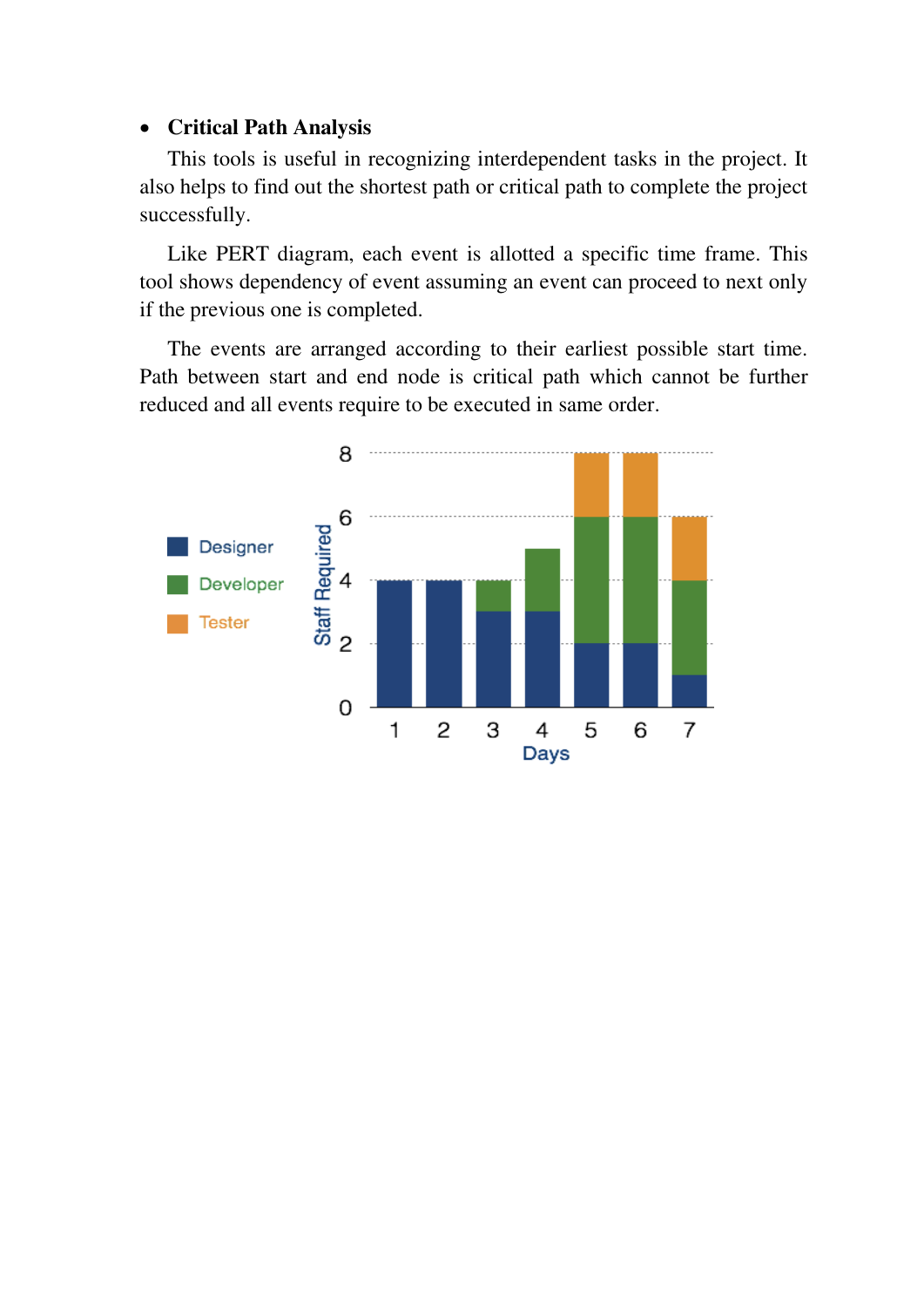## **Critical Path Analysis**

This tools is useful in recognizing interdependent tasks in the project. It also helps to find out the shortest path or critical path to complete the project successfully.

Like PERT diagram, each event is allotted a specific time frame. This tool shows dependency of event assuming an event can proceed to next only if the previous one is completed.

The events are arranged according to their earliest possible start time. Path between start and end node is critical path which cannot be further reduced and all events require to be executed in same order.

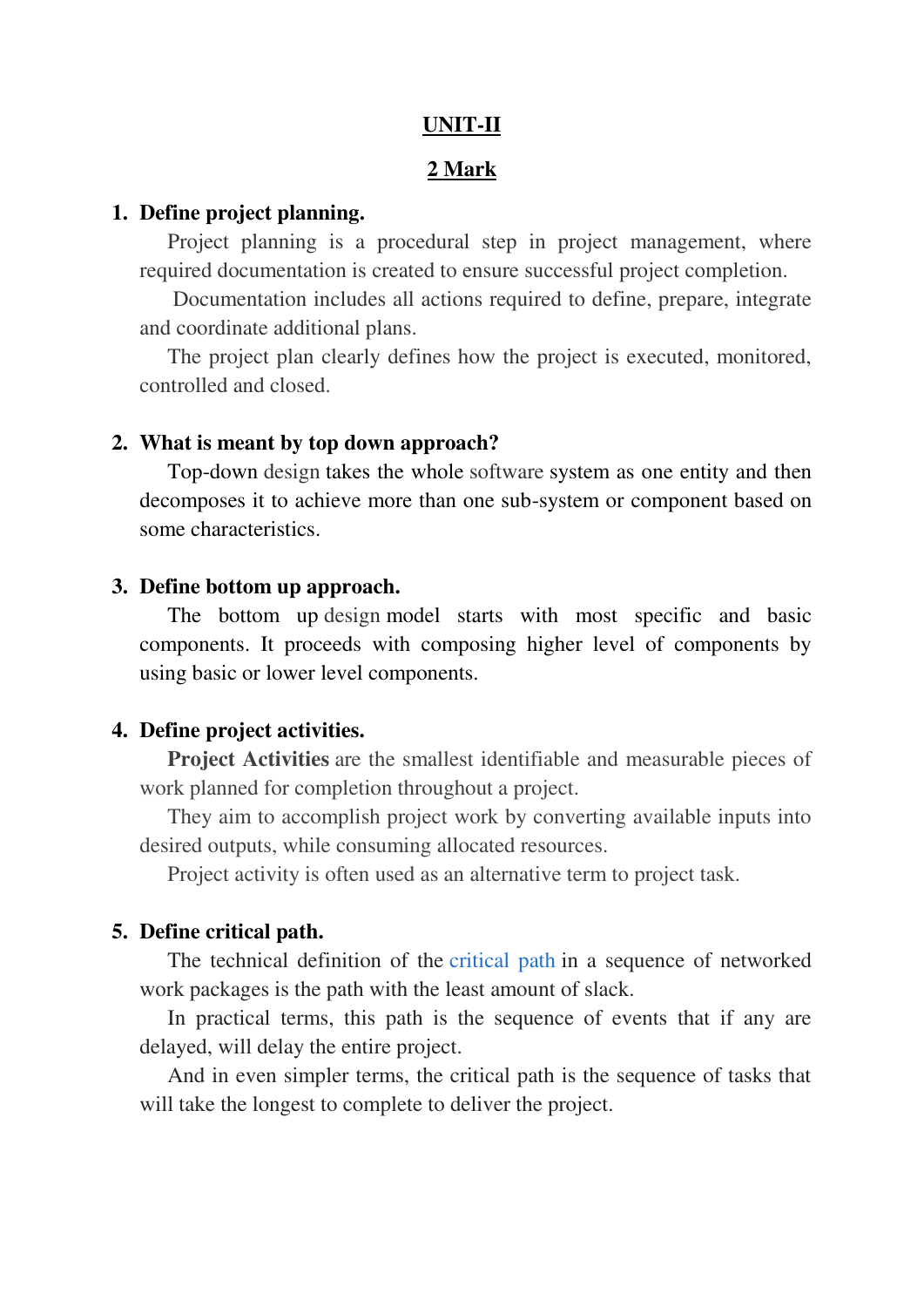### **UNIT-II**

#### **2 Mark**

#### **1. Define project planning.**

Project planning is a procedural step in project management, where required documentation is created to ensure successful project completion.

 Documentation includes all actions required to define, prepare, integrate and coordinate additional plans.

The project plan clearly defines how the project is executed, monitored, controlled and closed.

#### **2. What is meant by top down approach?**

Top-down [design](https://www.tutorialspoint.com/) takes the whole [software](https://www.tutorialspoint.com/) system as one entity and then decomposes it to achieve more than one sub-system or component based on some characteristics.

#### **3. Define bottom up approach.**

The bottom up [design](https://www.tutorialspoint.com/) model starts with most specific and basic components. It proceeds with composing higher level of components by using basic or lower level components.

#### **4. Define project activities.**

**Project Activities** are the smallest identifiable and measurable pieces of work planned for completion throughout a project.

They aim to accomplish project work by converting available inputs into desired outputs, while consuming allocated resources.

Project activity is often used as an alternative term to project task.

#### **5. Define critical path.**

The technical definition of the [critical path](https://www.thebalance.com/critical-path-method-scheduling-844481) in a sequence of networked work packages is the path with the least amount of slack.

In practical terms, this path is the sequence of events that if any are delayed, will delay the entire project.

And in even simpler terms, the critical path is the sequence of tasks that will take the longest to complete to deliver the project.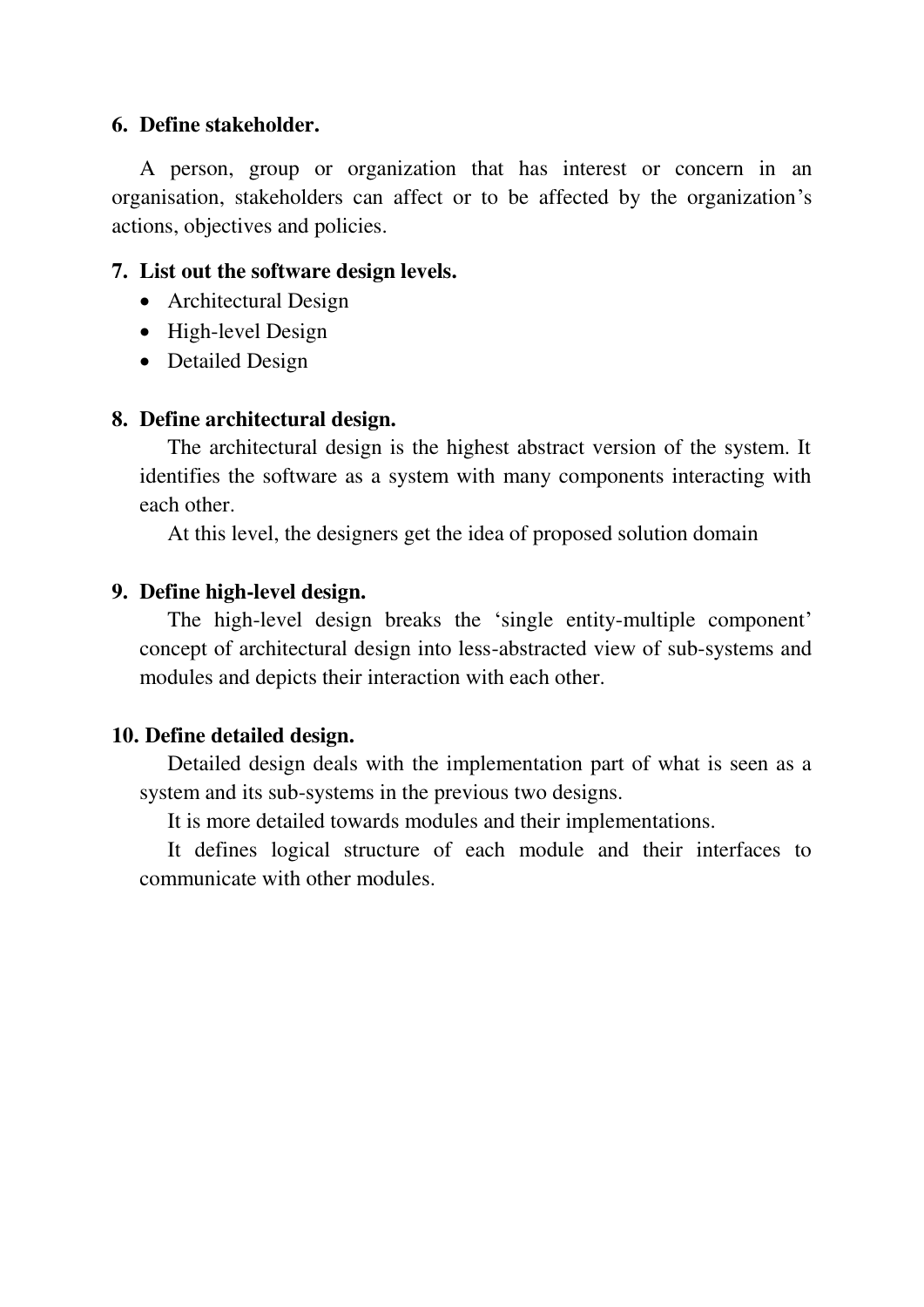## **6. Define stakeholder.**

A person, group or organization that has interest or concern in an organisation, stakeholders can affect or to be affected by the organization's actions, objectives and policies.

## **7. List out the software design levels.**

- Architectural Design
- High-level Design
- Detailed Design

## **8. Define architectural design.**

The architectural design is the highest abstract version of the system. It identifies the software as a system with many components interacting with each other.

At this level, the designers get the idea of proposed solution domain

## **9. Define high-level design.**

The high-level design breaks the 'single entity-multiple component' concept of architectural design into less-abstracted view of sub-systems and modules and depicts their interaction with each other.

## **10. Define detailed design.**

Detailed design deals with the implementation part of what is seen as a system and its sub-systems in the previous two designs.

It is more detailed towards modules and their implementations.

It defines logical structure of each module and their interfaces to communicate with other modules.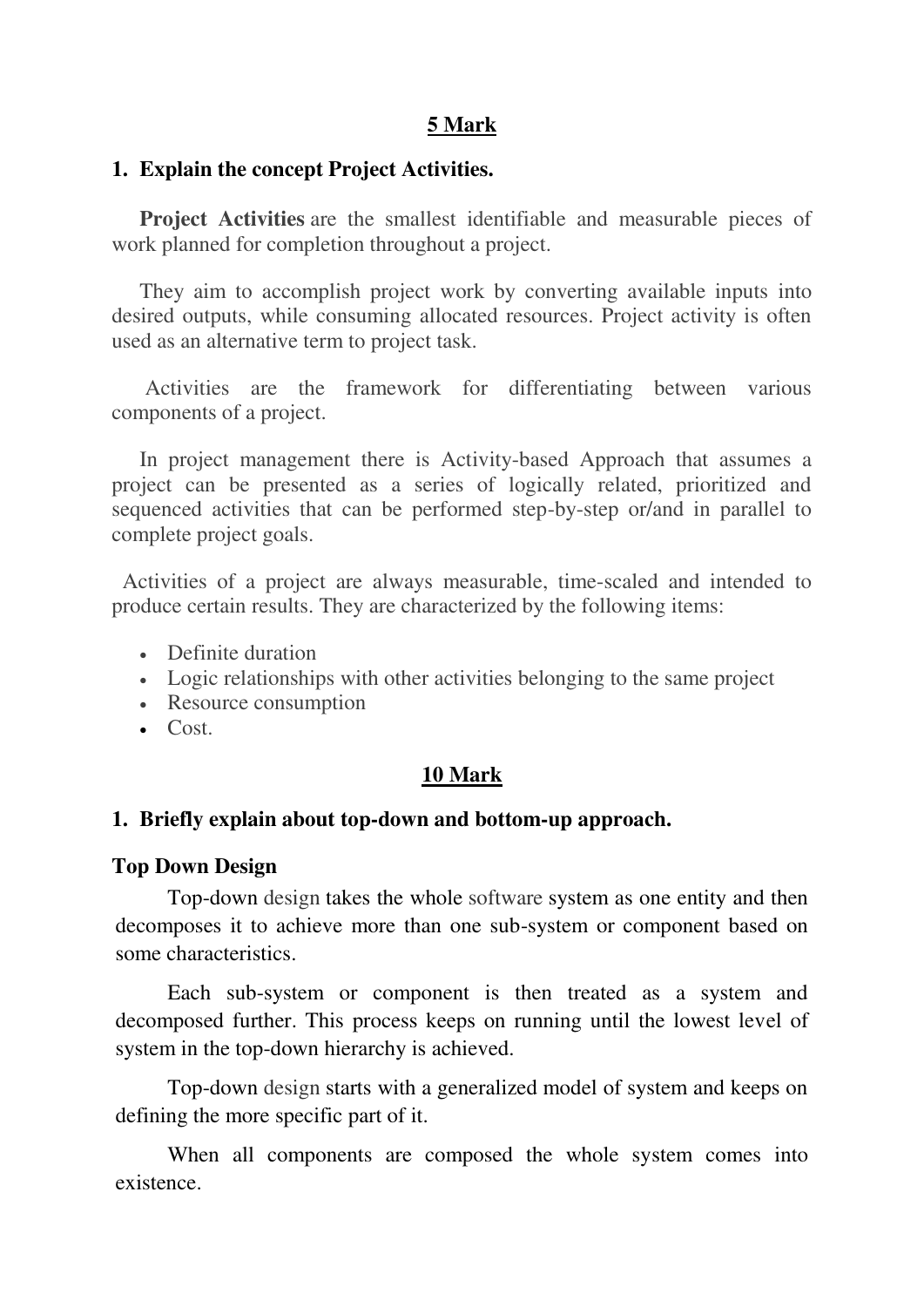## **5 Mark**

#### **1. Explain the concept Project Activities.**

**Project Activities** are the smallest identifiable and measurable pieces of work planned for completion throughout a project.

They aim to accomplish project work by converting available inputs into desired outputs, while consuming allocated resources. Project activity is often used as an alternative term to project task.

 Activities are the framework for differentiating between various components of a project.

In project management there is Activity-based Approach that assumes a project can be presented as a series of logically related, prioritized and sequenced activities that can be performed step-by-step or/and in parallel to complete project goals.

 Activities of a project are always measurable, time-scaled and intended to produce certain results. They are characterized by the following items:

- Definite duration
- Logic relationships with other activities belonging to the same project
- Resource consumption
- $\cdot$  Cost.

#### **10 Mark**

#### **1. Briefly explain about top-down and bottom-up approach.**

#### **Top Down [Design](https://www.tutorialspoint.com/)**

Top-down [design](https://www.tutorialspoint.com/) takes the whole [software](https://www.tutorialspoint.com/) system as one entity and then decomposes it to achieve more than one sub-system or component based on some characteristics.

Each sub-system or component is then treated as a system and decomposed further. This process keeps on running until the lowest level of system in the top-down hierarchy is achieved.

Top-down [design](https://www.tutorialspoint.com/) starts with a generalized model of system and keeps on defining the more specific part of it.

When all components are composed the whole system comes into existence.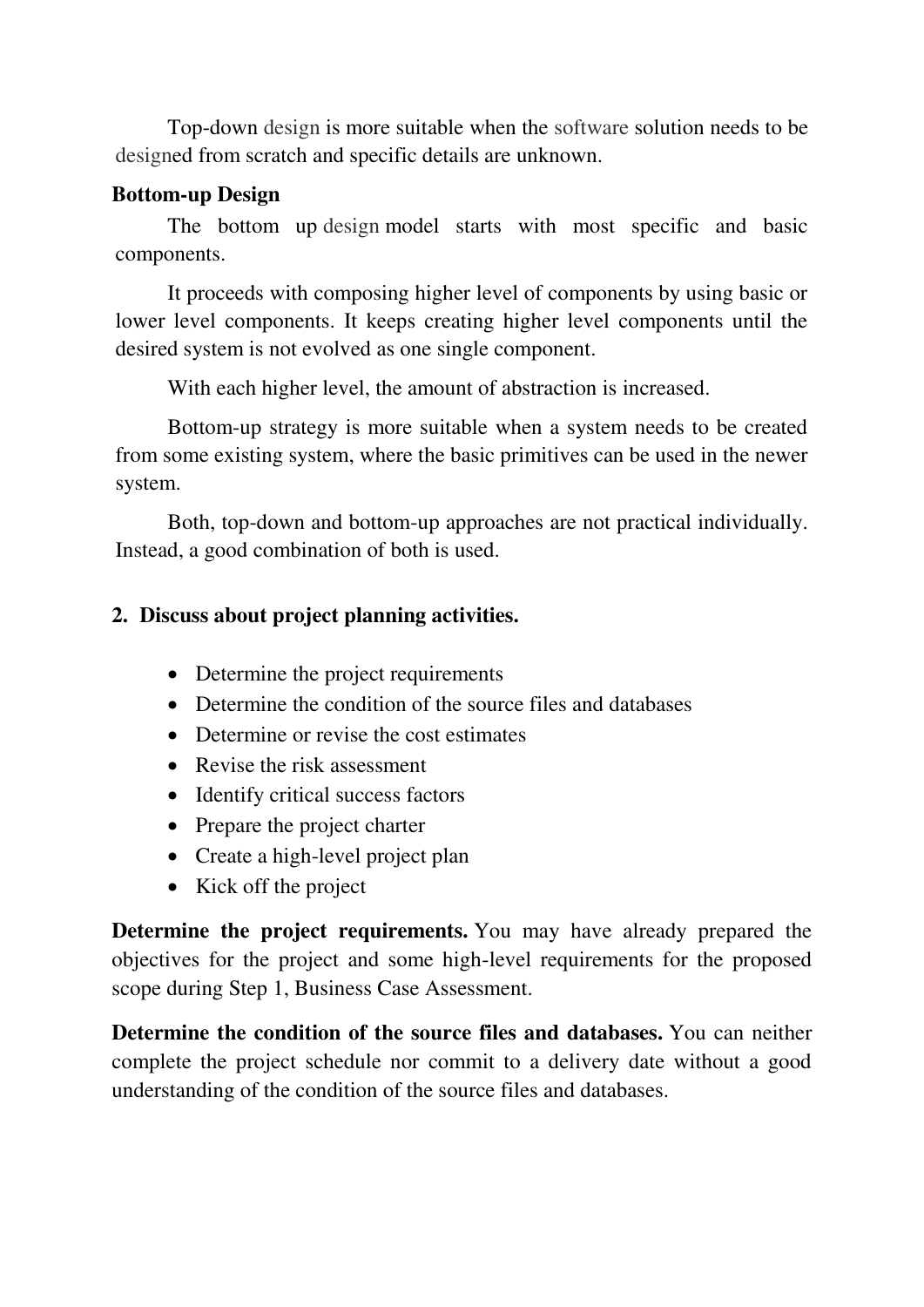Top-down [design](https://www.tutorialspoint.com/) is more suitable when the [software](https://www.tutorialspoint.com/) solution needs to be [designe](https://www.tutorialspoint.com/)d from scratch and specific details are unknown.

# **Bottom-up [Design](https://www.tutorialspoint.com/)**

The bottom up [design](https://www.tutorialspoint.com/) model starts with most specific and basic components.

It proceeds with composing higher level of components by using basic or lower level components. It keeps creating higher level components until the desired system is not evolved as one single component.

With each higher level, the amount of abstraction is increased.

Bottom-up strategy is more suitable when a system needs to be created from some existing system, where the basic primitives can be used in the newer system.

Both, top-down and bottom-up approaches are not practical individually. Instead, a good combination of both is used.

# **2. Discuss about project planning activities.**

- Determine the project requirements
- Determine the condition of the source files and databases
- Determine or revise the cost estimates
- Revise the risk assessment
- Identify critical success factors
- Prepare the project charter
- Create a high-level project plan
- Kick off the project

**Determine the project requirements.** You may have already prepared the objectives for the project and some high-level requirements for the proposed scope during Step 1, Business Case Assessment.

**Determine the condition of the source files and databases.** You can neither complete the project schedule nor commit to a delivery date without a good understanding of the condition of the source files and databases.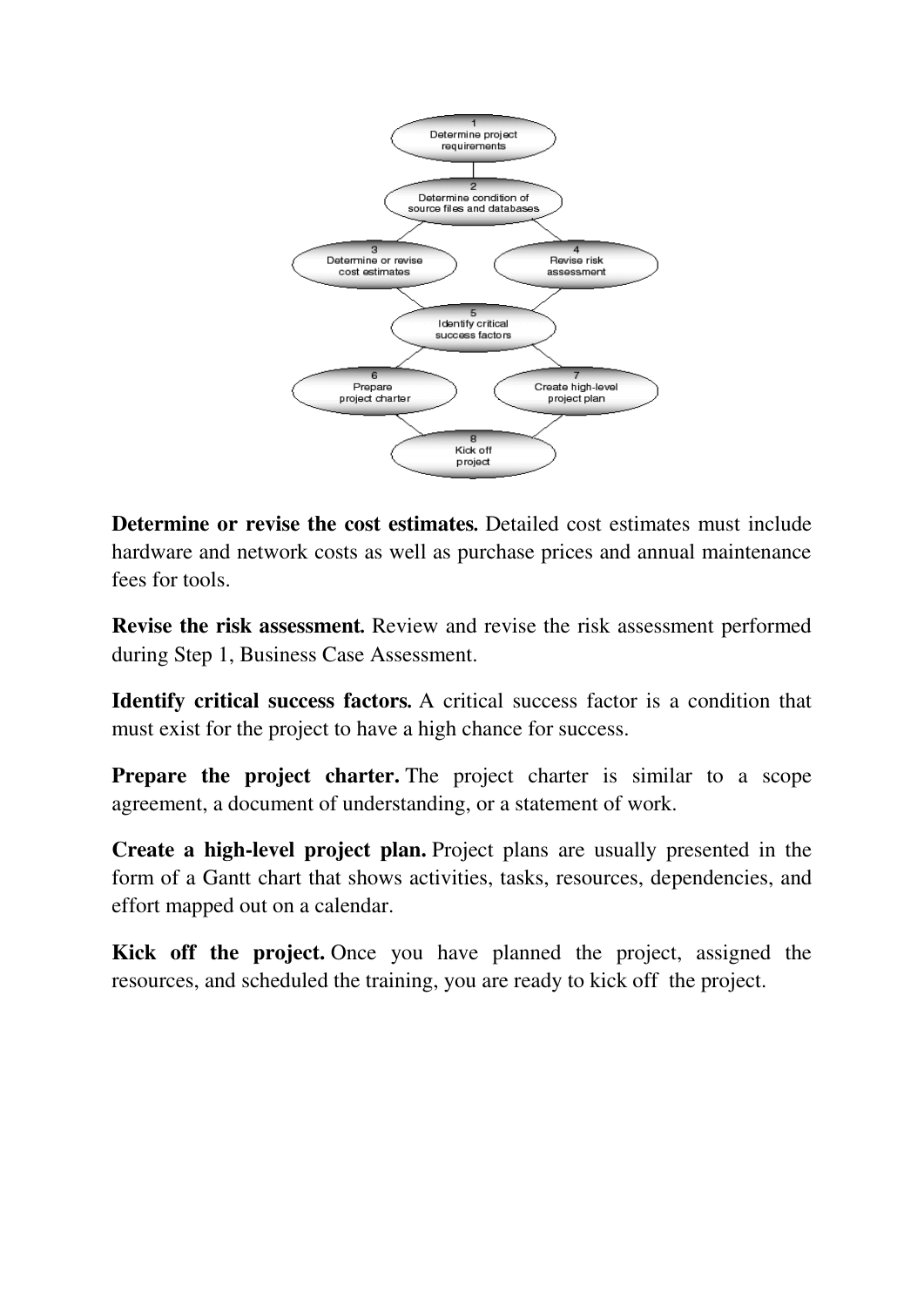

**Determine or revise the cost estimates***.* Detailed cost estimates must include hardware and network costs as well as purchase prices and annual maintenance fees for tools.

**Revise the risk assessment***.* Review and revise the risk assessment performed during Step 1, Business Case Assessment.

**Identify critical success factors***.* A critical success factor is a condition that must exist for the project to have a high chance for success.

**Prepare the project charter.** The project charter is similar to a scope agreement, a document of understanding, or a statement of work.

**Create a high-level project plan.** Project plans are usually presented in the form of a Gantt chart that shows activities, tasks, resources, dependencies, and effort mapped out on a calendar.

**Kick off the project.** Once you have planned the project, assigned the resources, and scheduled the training, you are ready to kick off the project.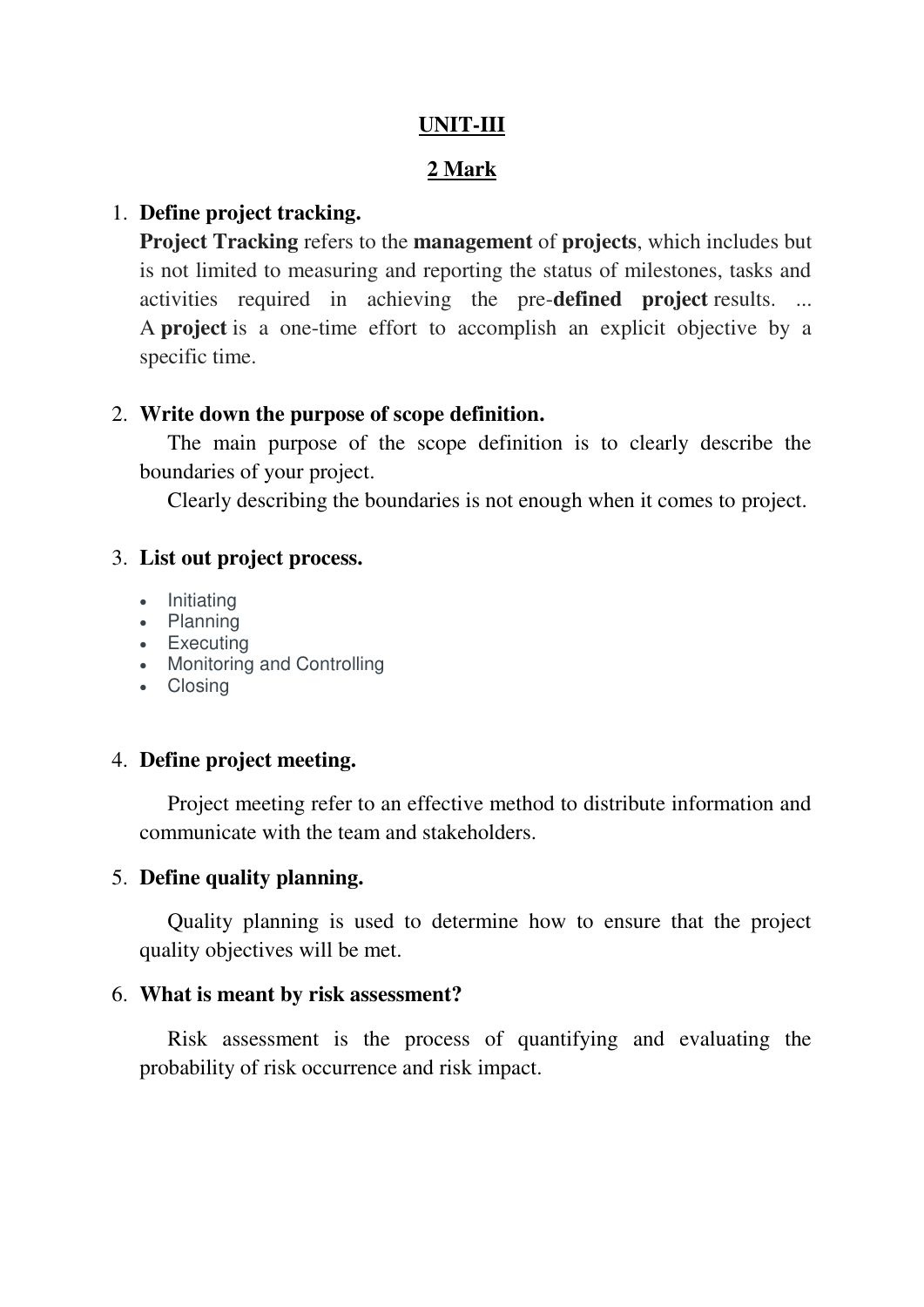## **UNIT-III**

# **2 Mark**

## 1. **Define project tracking.**

**Project Tracking** refers to the **management** of **projects**, which includes but is not limited to measuring and reporting the status of milestones, tasks and activities required in achieving the pre-**defined project** results. ... A **project** is a one-time effort to accomplish an explicit objective by a specific time.

## 2. **Write down the purpose of scope definition.**

The main purpose of the scope definition is to clearly describe the boundaries of your project.

Clearly describing the boundaries is not enough when it comes to project.

## 3. **List out project process.**

- Initiating
- Planning
- Executing
- Monitoring and Controlling
- Closing

## 4. **Define project meeting.**

Project meeting refer to an effective method to distribute information and communicate with the team and stakeholders.

# 5. **Define quality planning.**

Quality planning is used to determine how to ensure that the project quality objectives will be met.

## 6. **What is meant by risk assessment?**

Risk assessment is the process of quantifying and evaluating the probability of risk occurrence and risk impact.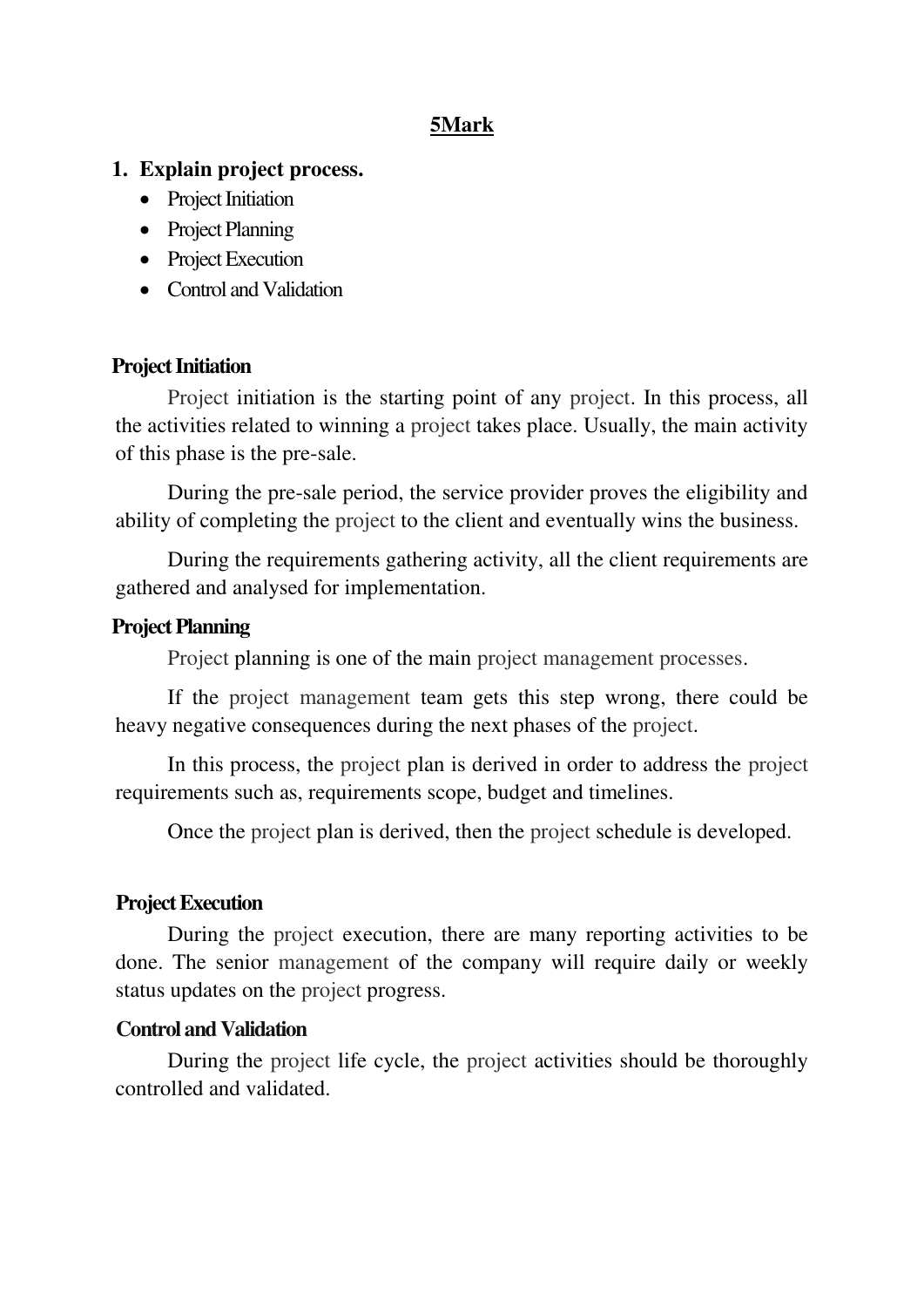## **5Mark**

## **1. Explain project process.**

- [Project](https://www.tutorialspoint.com/) Initiation
- [Project](https://www.tutorialspoint.com/) Planning
- [Project](https://www.tutorialspoint.com/) Execution
- Control and Validation

## **[Project](https://www.tutorialspoint.com/) Initiation**

[Project](https://www.tutorialspoint.com/) initiation is the starting point of any [project.](https://www.tutorialspoint.com/) In this process, all the activities related to winning a [project](https://www.tutorialspoint.com/) takes place. Usually, the main activity of this phase is the pre-sale.

During the pre-sale period, the service provider proves the eligibility and ability of completing the [project](https://www.tutorialspoint.com/) to the client and eventually wins the business.

During the requirements gathering activity, all the client requirements are gathered and analysed for implementation.

## **[Project](https://www.tutorialspoint.com/) Planning**

[Project](https://www.tutorialspoint.com/) planning is one of the main [project management processes.](https://www.tutorialspoint.com/)

If the [project](https://www.tutorialspoint.com/) [management](https://www.tutorialspoint.com/) team gets this step wrong, there could be heavy negative consequences during the next phases of the [project.](https://www.tutorialspoint.com/)

In this process, the [project](https://www.tutorialspoint.com/) plan is derived in order to address the [project](https://www.tutorialspoint.com/) requirements such as, requirements scope, budget and timelines.

Once the [project](https://www.tutorialspoint.com/) plan is derived, then the [project](https://www.tutorialspoint.com/) schedule is developed.

## **[Project](https://www.tutorialspoint.com/) Execution**

During the [project](https://www.tutorialspoint.com/) execution, there are many reporting activities to be done. The senior [management](https://www.tutorialspoint.com/) of the company will require daily or weekly status updates on the [project](https://www.tutorialspoint.com/) progress.

#### **Control and Validation**

During the [project](https://www.tutorialspoint.com/) life cycle, the [project](https://www.tutorialspoint.com/) activities should be thoroughly controlled and validated.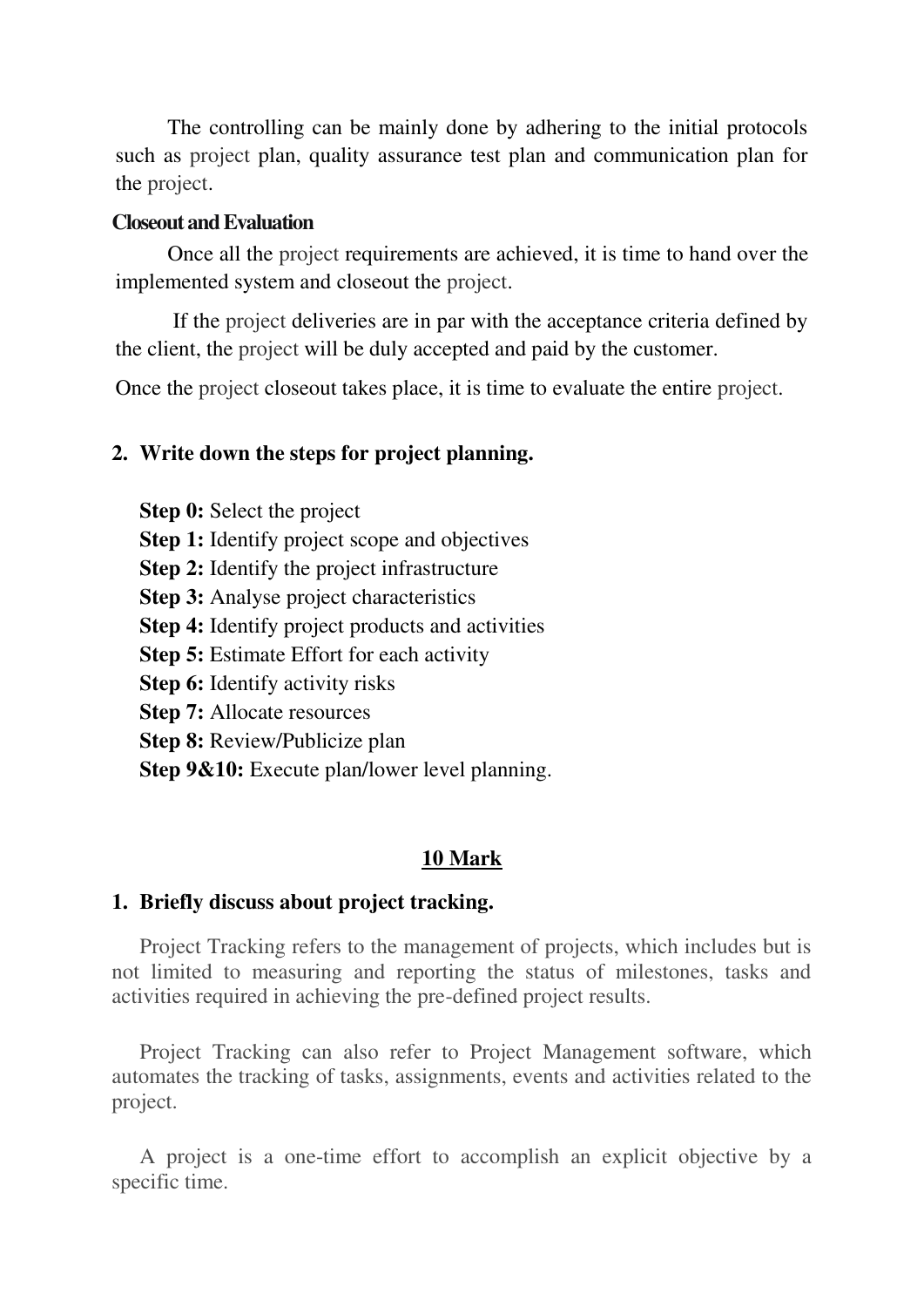The controlling can be mainly done by adhering to the initial protocols such as [project](https://www.tutorialspoint.com/) plan, quality assurance test plan and communication plan for the [project.](https://www.tutorialspoint.com/)

#### **Closeout and Evaluation**

Once all the [project](https://www.tutorialspoint.com/) requirements are achieved, it is time to hand over the implemented system and closeout the [project.](https://www.tutorialspoint.com/)

 If the [project](https://www.tutorialspoint.com/) deliveries are in par with the acceptance criteria defined by the client, the [project](https://www.tutorialspoint.com/) will be duly accepted and paid by the customer.

Once the [project](https://www.tutorialspoint.com/) closeout takes place, it is time to evaluate the entire [project.](https://www.tutorialspoint.com/)

## **2. Write down the steps for project planning.**

**Step 0:** Select the project

**Step 1:** Identify project scope and objectives

**Step 2:** Identify the project infrastructure

**Step 3:** Analyse project characteristics

**Step 4:** Identify project products and activities

**Step 5:** Estimate Effort for each activity

**Step 6:** Identify activity risks

**Step 7:** Allocate resources

**Step 8:** Review/Publicize plan

**Step 9&10:** Execute plan/lower level planning.

## **10 Mark**

## **1. Briefly discuss about project tracking.**

Project Tracking refers to the management of projects, which includes but is not limited to measuring and reporting the status of milestones, tasks and activities required in achieving the pre-defined project results.

Project Tracking can also refer to Project Management software, which automates the tracking of tasks, assignments, events and activities related to the project.

A project is a one-time effort to accomplish an explicit objective by a specific time.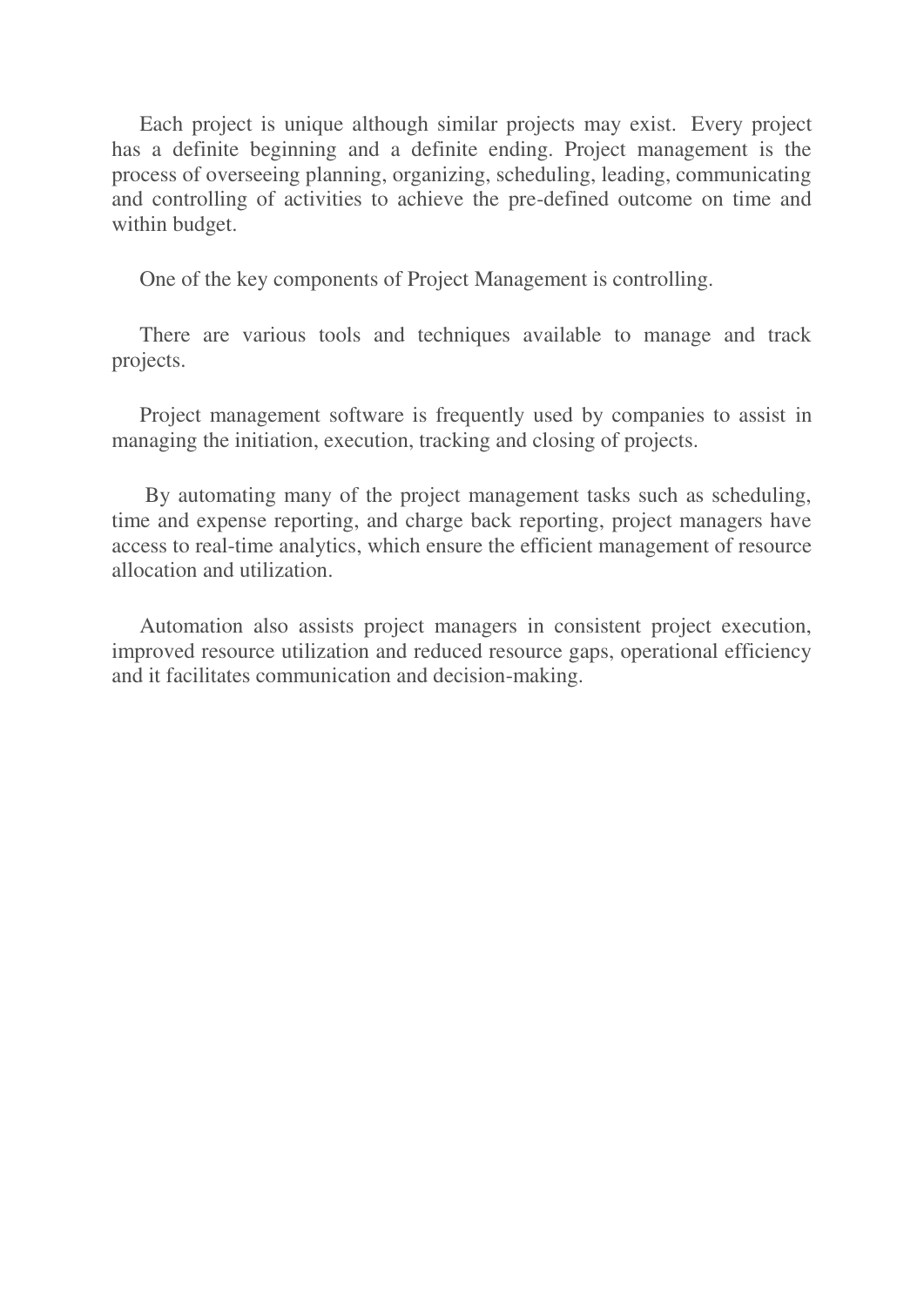Each project is unique although similar projects may exist. Every project has a definite beginning and a definite ending. Project management is the process of overseeing planning, organizing, scheduling, leading, communicating and controlling of activities to achieve the pre-defined outcome on time and within budget.

One of the key components of Project Management is controlling.

There are various tools and techniques available to manage and track projects.

Project management software is frequently used by companies to assist in managing the initiation, execution, tracking and closing of projects.

 By automating many of the project management tasks such as scheduling, time and expense reporting, and charge back reporting, project managers have access to real-time analytics, which ensure the efficient management of resource allocation and utilization.

Automation also assists project managers in consistent project execution, improved resource utilization and reduced resource gaps, operational efficiency and it facilitates communication and decision-making.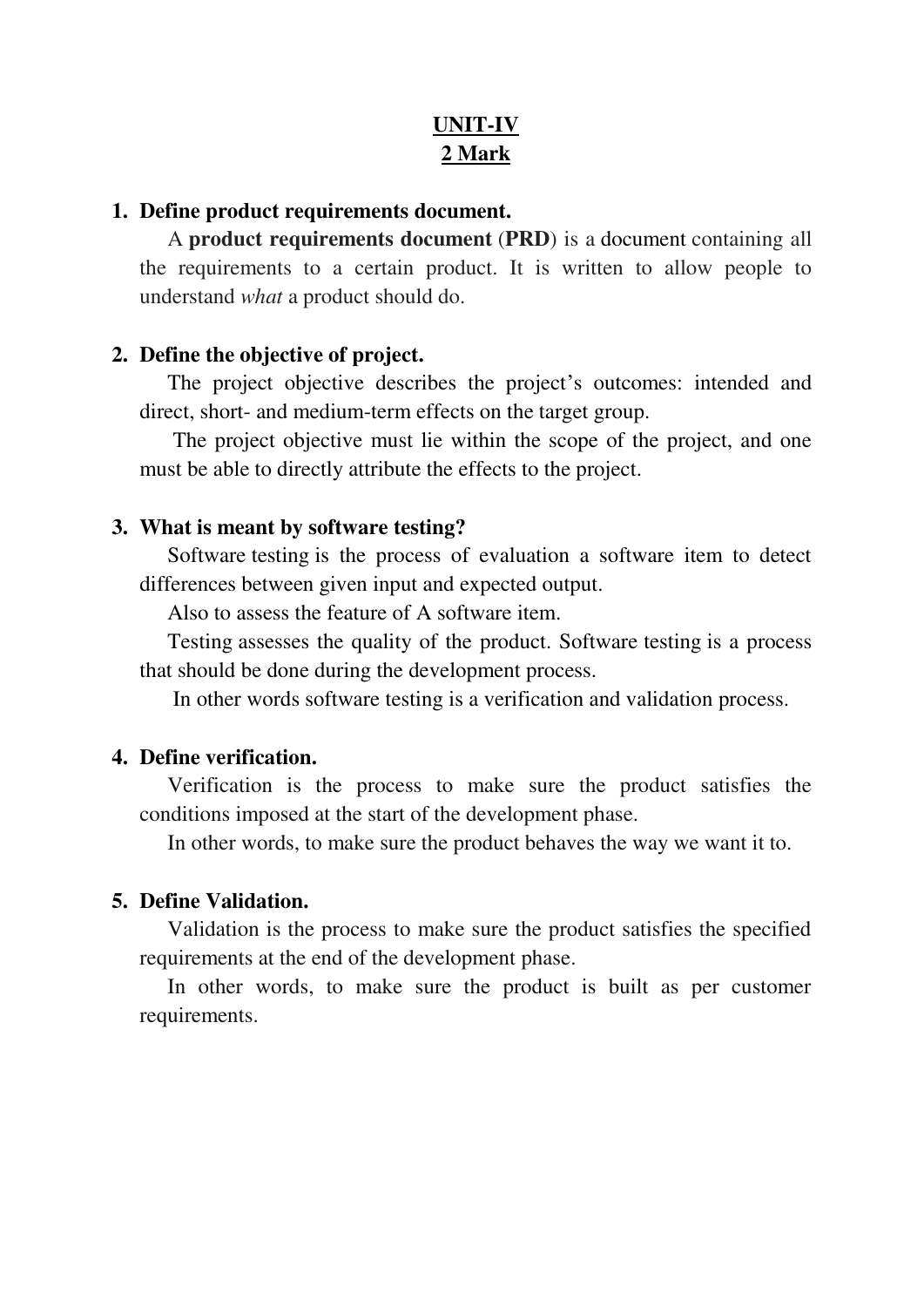# **UNIT-IV 2 Mark**

#### **1. Define product requirements document.**

A **product requirements document** (**PRD**) is a [document](https://en.wikipedia.org/wiki/Document) containing all the requirements to a certain product. It is written to allow people to understand *what* a product should do.

#### **2. Define the objective of project.**

The project objective describes the project's outcomes: intended and direct, short- and medium-term effects on the target group.

 The project objective must lie within the scope of the project, and one must be able to directly attribute the effects to the project.

#### **3. What is meant by software testing?**

Software [testing](https://www.codeproject.com/tips/351122/what-is-software-testing-what-are-the-different-ty) is the process of evaluation a software item to detect differences between given input and expected output.

Also to assess the feature of A software item.

[Testing](https://www.codeproject.com/tips/351122/what-is-software-testing-what-are-the-different-ty) assesses the quality of the product. Software [testing](https://www.codeproject.com/tips/351122/what-is-software-testing-what-are-the-different-ty) is a process that should be done during the development process.

In other words software [testing](https://www.codeproject.com/tips/351122/what-is-software-testing-what-are-the-different-ty) is a verification and validation process.

## **4. Define verification.**

Verification is the process to make sure the product satisfies the conditions imposed at the start of the development phase.

In other words, to make sure the product behaves the way we want it to.

### **5. Define Validation.**

Validation is the process to make sure the product satisfies the specified requirements at the end of the development phase.

In other words, to make sure the product is built as per customer requirements.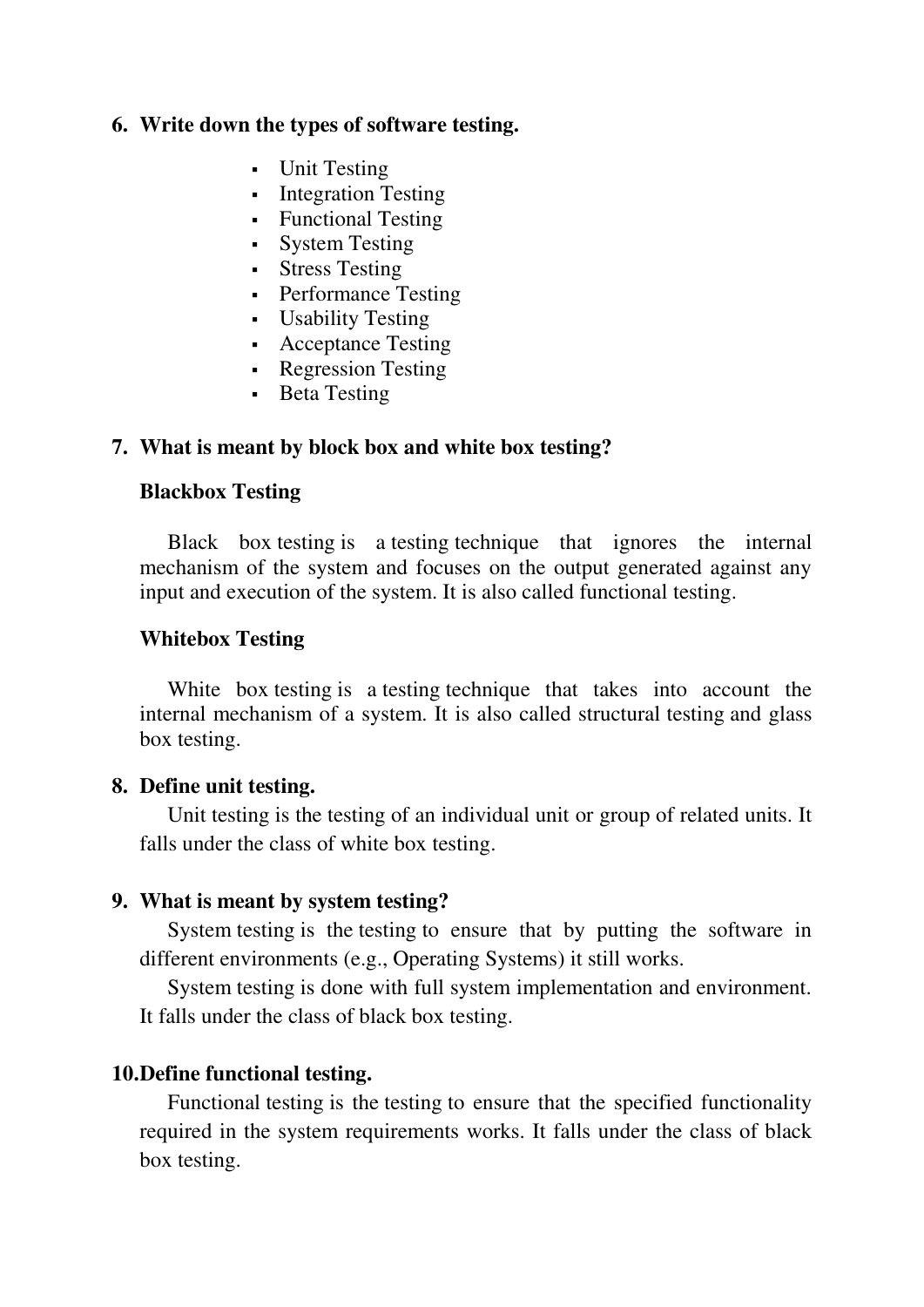## **6. Write down the types of software testing.**

- Unit Testing
- **Integration Testing**
- Functional Testing
- System Testing
- **Stress Testing**
- Performance Testing
- Usability [Testing](https://www.codeproject.com/tips/351122/what-is-software-testing-what-are-the-different-ty)
- Acceptance [Testing](https://www.codeproject.com/tips/351122/what-is-software-testing-what-are-the-different-ty)
- Regression Testing
- Beta Testing

## **7. What is meant by block box and white box testing?**

#### **Blackbox [Testing](https://www.codeproject.com/tips/351122/what-is-software-testing-what-are-the-different-ty)**

Black box [testing](https://www.codeproject.com/tips/351122/what-is-software-testing-what-are-the-different-ty) is a [testing](https://www.codeproject.com/tips/351122/what-is-software-testing-what-are-the-different-ty) technique that ignores the internal mechanism of the system and focuses on the output generated against any input and execution of the system. It is also called functional [testing.](https://www.codeproject.com/tips/351122/what-is-software-testing-what-are-the-different-ty)

#### **Whitebox [Testing](https://www.codeproject.com/tips/351122/what-is-software-testing-what-are-the-different-ty)**

White box [testing](https://www.codeproject.com/tips/351122/what-is-software-testing-what-are-the-different-ty) is a [testing](https://www.codeproject.com/tips/351122/what-is-software-testing-what-are-the-different-ty) technique that takes into account the internal mechanism of a system. It is also called structural [testing](https://www.codeproject.com/tips/351122/what-is-software-testing-what-are-the-different-ty) and glass box [testing.](https://www.codeproject.com/tips/351122/what-is-software-testing-what-are-the-different-ty)

#### **8. Define unit testing.**

Unit [testing](https://www.codeproject.com/tips/351122/what-is-software-testing-what-are-the-different-ty) is the [testing](https://www.codeproject.com/tips/351122/what-is-software-testing-what-are-the-different-ty) of an individual unit or group of related units. It falls under the class of white box [testing.](https://www.codeproject.com/tips/351122/what-is-software-testing-what-are-the-different-ty)

#### **9. What is meant by system testing?**

System [testing](https://www.codeproject.com/tips/351122/what-is-software-testing-what-are-the-different-ty) is the [testing](https://www.codeproject.com/tips/351122/what-is-software-testing-what-are-the-different-ty) to ensure that by putting the software in different environments (e.g., Operating Systems) it still works.

System [testing](https://www.codeproject.com/tips/351122/what-is-software-testing-what-are-the-different-ty) is done with full system implementation and environment. It falls under the class of black box [testing.](https://www.codeproject.com/tips/351122/what-is-software-testing-what-are-the-different-ty)

#### **10.Define functional testing.**

Functional [testing](https://www.codeproject.com/tips/351122/what-is-software-testing-what-are-the-different-ty) is the [testing](https://www.codeproject.com/tips/351122/what-is-software-testing-what-are-the-different-ty) to ensure that the specified functionality required in the system requirements works. It falls under the class of black box [testing.](https://www.codeproject.com/tips/351122/what-is-software-testing-what-are-the-different-ty)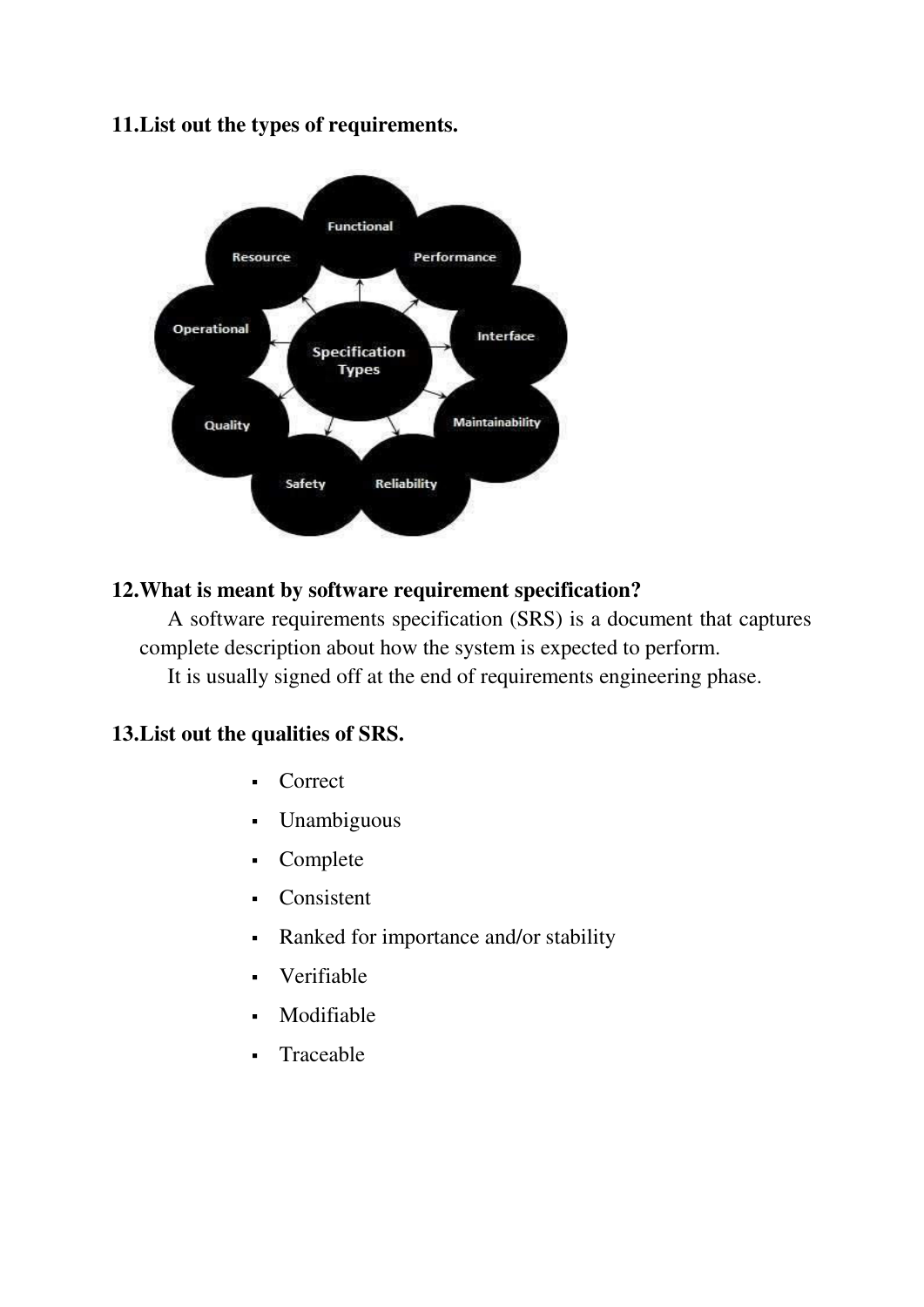## **11.List out the types of requirements.**



# **12.What is meant by software requirement specification?**

A software requirements specification (SRS) is a document that captures complete description about how the system is expected to perform. It is usually signed off at the end of requirements engineering phase.

## **13.List out the qualities of SRS.**

- Correct
- Unambiguous
- Complete
- Consistent
- Ranked for importance and/or stability
- Verifiable
- Modifiable
- Traceable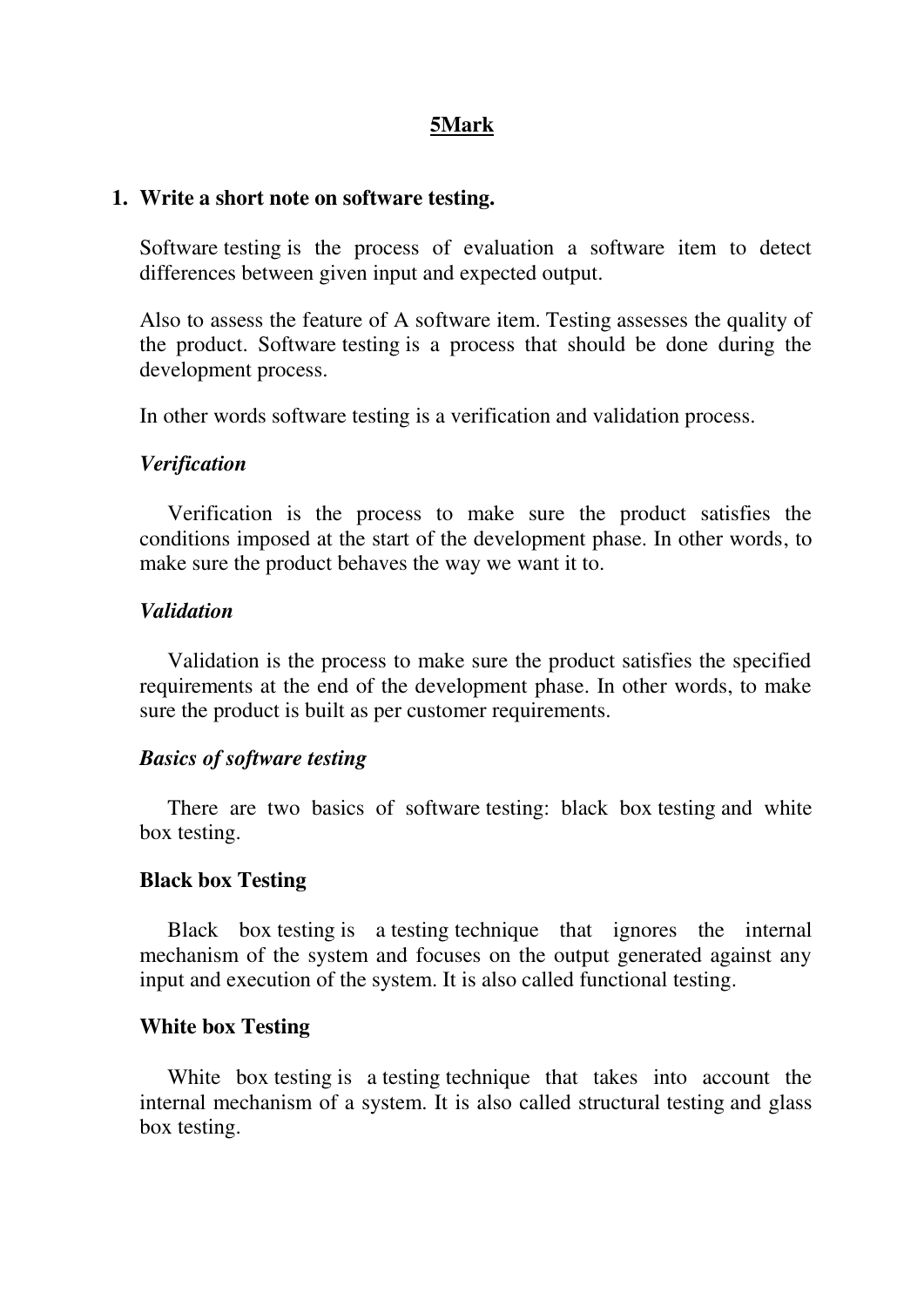## **5Mark**

#### **1. Write a short note on software testing.**

Software [testing](https://www.codeproject.com/tips/351122/what-is-software-testing-what-are-the-different-ty) is the process of evaluation a software item to detect differences between given input and expected output.

Also to assess the feature of A software item. [Testing](https://www.codeproject.com/tips/351122/what-is-software-testing-what-are-the-different-ty) assesses the quality of the product. Software [testing](https://www.codeproject.com/tips/351122/what-is-software-testing-what-are-the-different-ty) is a process that should be done during the development process.

In other words software [testing](https://www.codeproject.com/tips/351122/what-is-software-testing-what-are-the-different-ty) is a verification and validation process.

#### *Verification*

Verification is the process to make sure the product satisfies the conditions imposed at the start of the development phase. In other words, to make sure the product behaves the way we want it to.

#### *Validation*

Validation is the process to make sure the product satisfies the specified requirements at the end of the development phase. In other words, to make sure the product is built as per customer requirements.

#### *Basics of software [testing](https://www.codeproject.com/tips/351122/what-is-software-testing-what-are-the-different-ty)*

There are two basics of software [testing:](https://www.codeproject.com/tips/351122/what-is-software-testing-what-are-the-different-ty) black box [testing](https://www.codeproject.com/tips/351122/what-is-software-testing-what-are-the-different-ty) and white box [testing.](https://www.codeproject.com/tips/351122/what-is-software-testing-what-are-the-different-ty)

#### **Black box [Testing](https://www.codeproject.com/tips/351122/what-is-software-testing-what-are-the-different-ty)**

Black box [testing](https://www.codeproject.com/tips/351122/what-is-software-testing-what-are-the-different-ty) is a [testing](https://www.codeproject.com/tips/351122/what-is-software-testing-what-are-the-different-ty) technique that ignores the internal mechanism of the system and focuses on the output generated against any input and execution of the system. It is also called functional [testing.](https://www.codeproject.com/tips/351122/what-is-software-testing-what-are-the-different-ty)

#### **White box [Testing](https://www.codeproject.com/tips/351122/what-is-software-testing-what-are-the-different-ty)**

White box [testing](https://www.codeproject.com/tips/351122/what-is-software-testing-what-are-the-different-ty) is a [testing](https://www.codeproject.com/tips/351122/what-is-software-testing-what-are-the-different-ty) technique that takes into account the internal mechanism of a system. It is also called structural [testing](https://www.codeproject.com/tips/351122/what-is-software-testing-what-are-the-different-ty) and glass box [testing.](https://www.codeproject.com/tips/351122/what-is-software-testing-what-are-the-different-ty)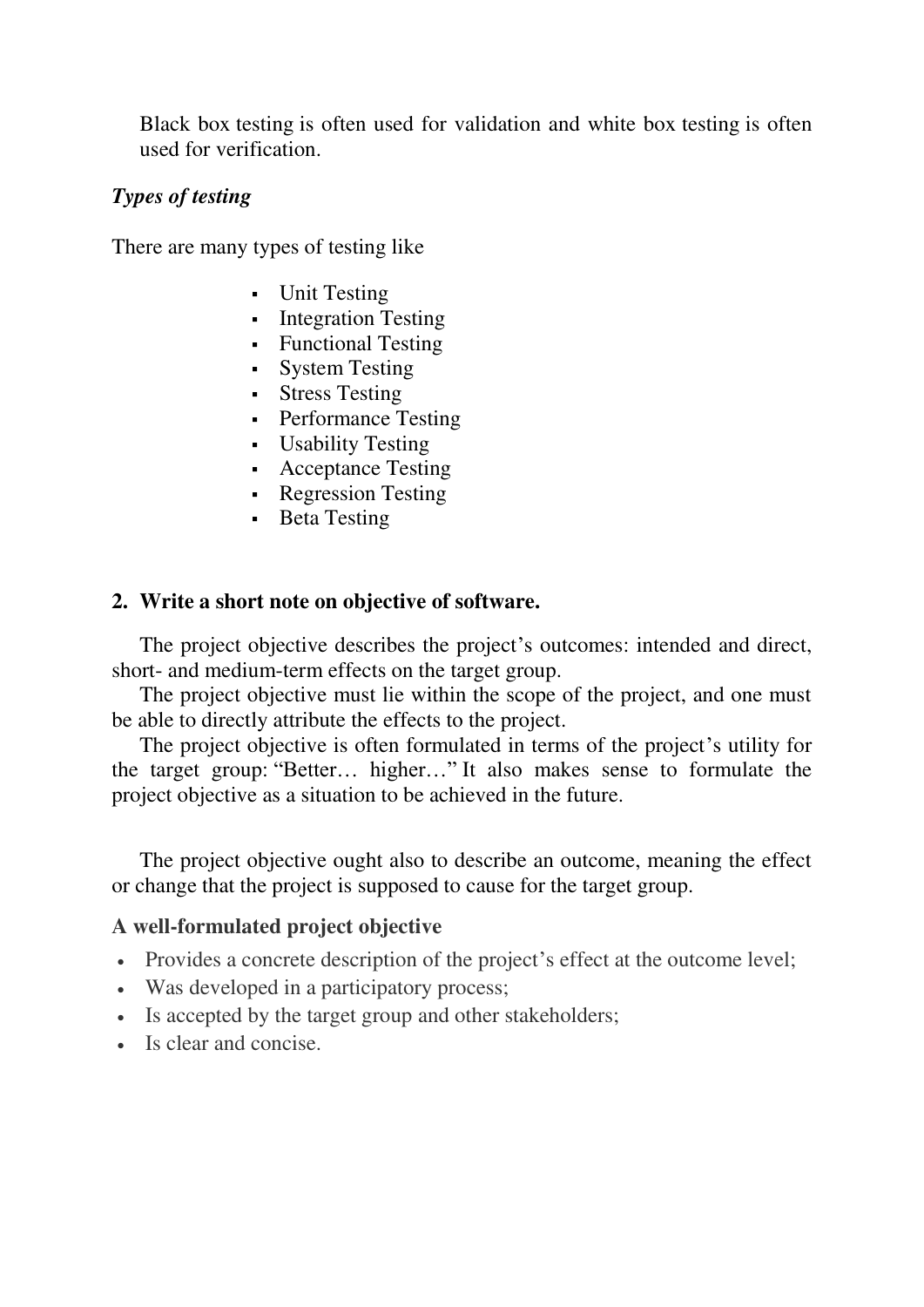Black box [testing](https://www.codeproject.com/tips/351122/what-is-software-testing-what-are-the-different-ty) is often used for validation and white box [testing](https://www.codeproject.com/tips/351122/what-is-software-testing-what-are-the-different-ty) is often used for verification.

## *Types of [testing](https://www.codeproject.com/tips/351122/what-is-software-testing-what-are-the-different-ty)*

There are many types of [testing](https://www.codeproject.com/tips/351122/what-is-software-testing-what-are-the-different-ty) like

- Unit Testing
- Integration Testing
- Functional Testing
- System Testing
- Stress Testing
- Performance Testing
- Usability [Testing](https://www.codeproject.com/tips/351122/what-is-software-testing-what-are-the-different-ty)
- Acceptance [Testing](https://www.codeproject.com/tips/351122/what-is-software-testing-what-are-the-different-ty)
- Regression Testing
- **Beta Testing**

#### **2. Write a short note on objective of software.**

The project objective describes the project's outcomes: intended and direct, short- and medium-term effects on the target group.

The project objective must lie within the scope of the project, and one must be able to directly attribute the effects to the project.

The project objective is often formulated in terms of the project's utility for the target group: "Better… higher…" It also makes sense to formulate the project objective as a situation to be achieved in the future.

The project objective ought also to describe an outcome, meaning the effect or change that the project is supposed to cause for the target group.

## **A well-formulated project objective**

- Provides a concrete description of the project's effect at the outcome level;
- Was developed in a participatory process;
- Is accepted by the target group and other stakeholders;
- Is clear and concise.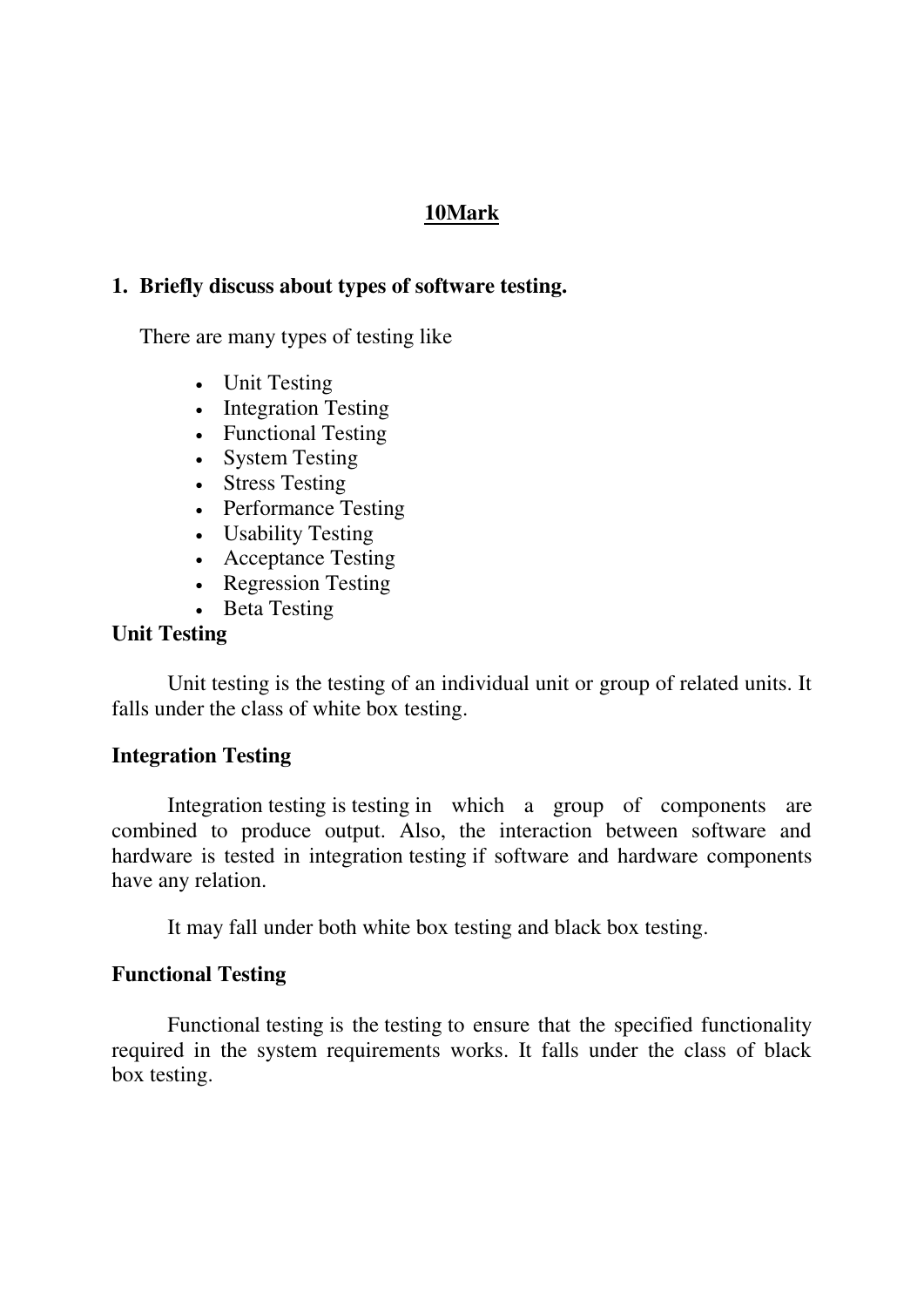## **10Mark**

## **1. Briefly discuss about types of software testing.**

There are many types of [testing](https://www.codeproject.com/tips/351122/what-is-software-testing-what-are-the-different-ty) like

- Unit Testing
- Integration Testing
- Functional Testing
- System Testing
- Stress Testing
- Performance Testing
- Usability [Testing](https://www.codeproject.com/tips/351122/what-is-software-testing-what-are-the-different-ty)
- Acceptance Testing
- Regression Testing
- Beta Testing

#### **Unit [Testing](https://www.codeproject.com/tips/351122/what-is-software-testing-what-are-the-different-ty)**

Unit [testing](https://www.codeproject.com/tips/351122/what-is-software-testing-what-are-the-different-ty) is the [testing](https://www.codeproject.com/tips/351122/what-is-software-testing-what-are-the-different-ty) of an individual unit or group of related units. It falls under the class of white box [testing.](https://www.codeproject.com/tips/351122/what-is-software-testing-what-are-the-different-ty)

#### **Integration [Testing](https://www.codeproject.com/tips/351122/what-is-software-testing-what-are-the-different-ty)**

Integration [testing](https://www.codeproject.com/tips/351122/what-is-software-testing-what-are-the-different-ty) is [testing](https://www.codeproject.com/tips/351122/what-is-software-testing-what-are-the-different-ty) in which a group of components are combined to produce output. Also, the interaction between software and hardware is tested in integration [testing](https://www.codeproject.com/tips/351122/what-is-software-testing-what-are-the-different-ty) if software and hardware components have any relation.

It may fall under both white box [testing](https://www.codeproject.com/tips/351122/what-is-software-testing-what-are-the-different-ty) and black box [testing.](https://www.codeproject.com/tips/351122/what-is-software-testing-what-are-the-different-ty)

#### **Functional [Testing](https://www.codeproject.com/tips/351122/what-is-software-testing-what-are-the-different-ty)**

Functional [testing](https://www.codeproject.com/tips/351122/what-is-software-testing-what-are-the-different-ty) is the [testing](https://www.codeproject.com/tips/351122/what-is-software-testing-what-are-the-different-ty) to ensure that the specified functionality required in the system requirements works. It falls under the class of black box [testing.](https://www.codeproject.com/tips/351122/what-is-software-testing-what-are-the-different-ty)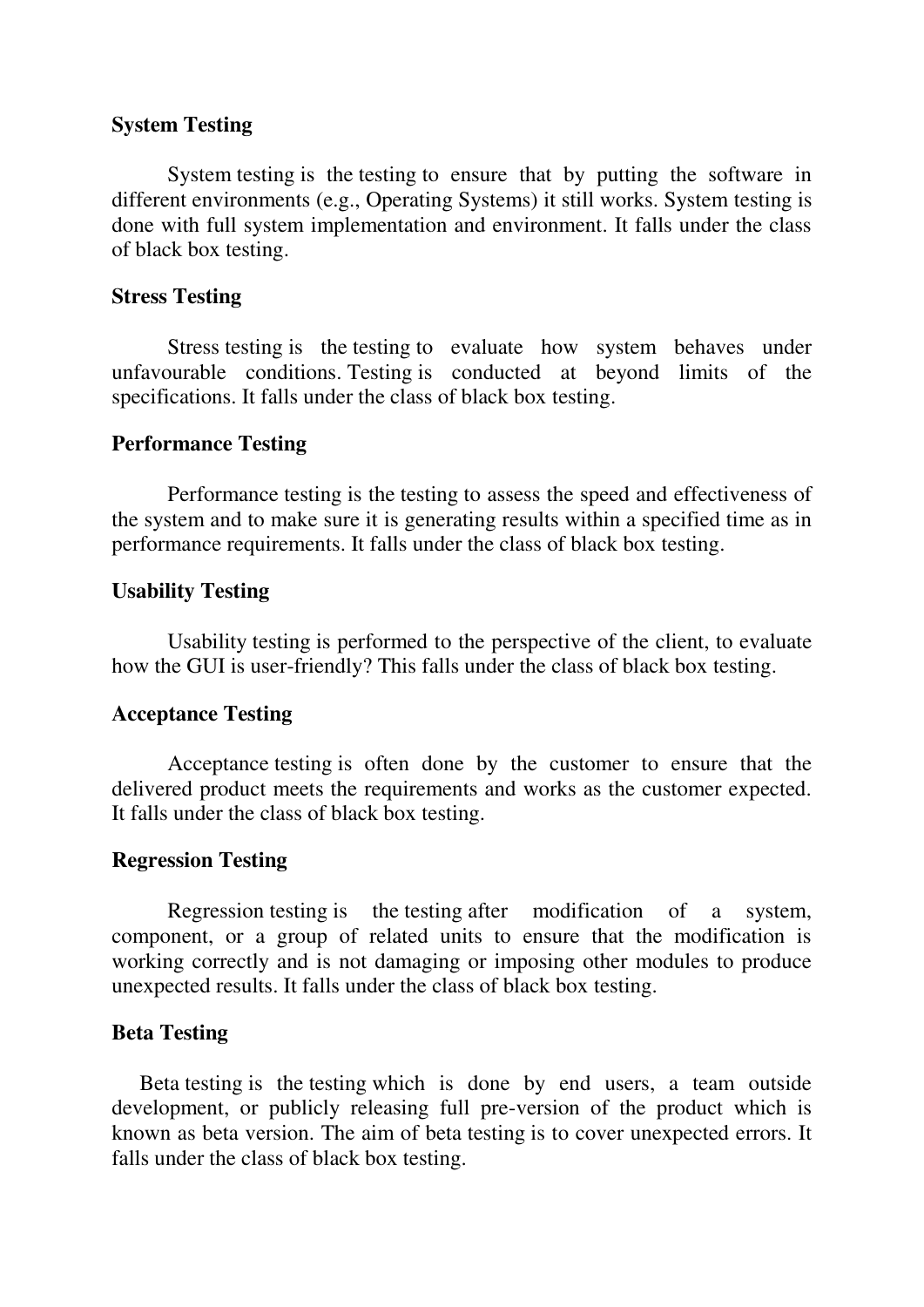### **System [Testing](https://www.codeproject.com/tips/351122/what-is-software-testing-what-are-the-different-ty)**

System [testing](https://www.codeproject.com/tips/351122/what-is-software-testing-what-are-the-different-ty) is the [testing](https://www.codeproject.com/tips/351122/what-is-software-testing-what-are-the-different-ty) to ensure that by putting the software in different environments (e.g., Operating Systems) it still works. System [testing](https://www.codeproject.com/tips/351122/what-is-software-testing-what-are-the-different-ty) is done with full system implementation and environment. It falls under the class of black box [testing.](https://www.codeproject.com/tips/351122/what-is-software-testing-what-are-the-different-ty)

## **Stress [Testing](https://www.codeproject.com/tips/351122/what-is-software-testing-what-are-the-different-ty)**

Stress [testing](https://www.codeproject.com/tips/351122/what-is-software-testing-what-are-the-different-ty) is the [testing](https://www.codeproject.com/tips/351122/what-is-software-testing-what-are-the-different-ty) to evaluate how system behaves under unfavourable conditions. [Testing](https://www.codeproject.com/tips/351122/what-is-software-testing-what-are-the-different-ty) is conducted at beyond limits of the specifications. It falls under the class of black box [testing.](https://www.codeproject.com/tips/351122/what-is-software-testing-what-are-the-different-ty)

#### **Performance [Testing](https://www.codeproject.com/tips/351122/what-is-software-testing-what-are-the-different-ty)**

Performance [testing](https://www.codeproject.com/tips/351122/what-is-software-testing-what-are-the-different-ty) is the [testing](https://www.codeproject.com/tips/351122/what-is-software-testing-what-are-the-different-ty) to assess the speed and effectiveness of the system and to make sure it is generating results within a specified time as in performance requirements. It falls under the class of black box [testing.](https://www.codeproject.com/tips/351122/what-is-software-testing-what-are-the-different-ty)

## **Usability [Testing](https://www.codeproject.com/tips/351122/what-is-software-testing-what-are-the-different-ty)**

Usability [testing](https://www.codeproject.com/tips/351122/what-is-software-testing-what-are-the-different-ty) is performed to the perspective of the client, to evaluate how the GUI is user-friendly? This falls under the class of black box [testing.](https://www.codeproject.com/tips/351122/what-is-software-testing-what-are-the-different-ty)

#### **Acceptance [Testing](https://www.codeproject.com/tips/351122/what-is-software-testing-what-are-the-different-ty)**

Acceptance [testing](https://www.codeproject.com/tips/351122/what-is-software-testing-what-are-the-different-ty) is often done by the customer to ensure that the delivered product meets the requirements and works as the customer expected. It falls under the class of black box [testing.](https://www.codeproject.com/tips/351122/what-is-software-testing-what-are-the-different-ty)

#### **Regression [Testing](https://www.codeproject.com/tips/351122/what-is-software-testing-what-are-the-different-ty)**

Regression [testing](https://www.codeproject.com/tips/351122/what-is-software-testing-what-are-the-different-ty) is the [testing](https://www.codeproject.com/tips/351122/what-is-software-testing-what-are-the-different-ty) after modification of a system, component, or a group of related units to ensure that the modification is working correctly and is not damaging or imposing other modules to produce unexpected results. It falls under the class of black box [testing.](https://www.codeproject.com/tips/351122/what-is-software-testing-what-are-the-different-ty)

## **Beta [Testing](https://www.codeproject.com/tips/351122/what-is-software-testing-what-are-the-different-ty)**

Beta [testing](https://www.codeproject.com/tips/351122/what-is-software-testing-what-are-the-different-ty) is the [testing](https://www.codeproject.com/tips/351122/what-is-software-testing-what-are-the-different-ty) which is done by end users, a team outside development, or publicly releasing full pre-version of the product which is known as beta version. The aim of beta [testing](https://www.codeproject.com/tips/351122/what-is-software-testing-what-are-the-different-ty) is to cover unexpected errors. It falls under the class of black box [testing.](https://www.codeproject.com/tips/351122/what-is-software-testing-what-are-the-different-ty)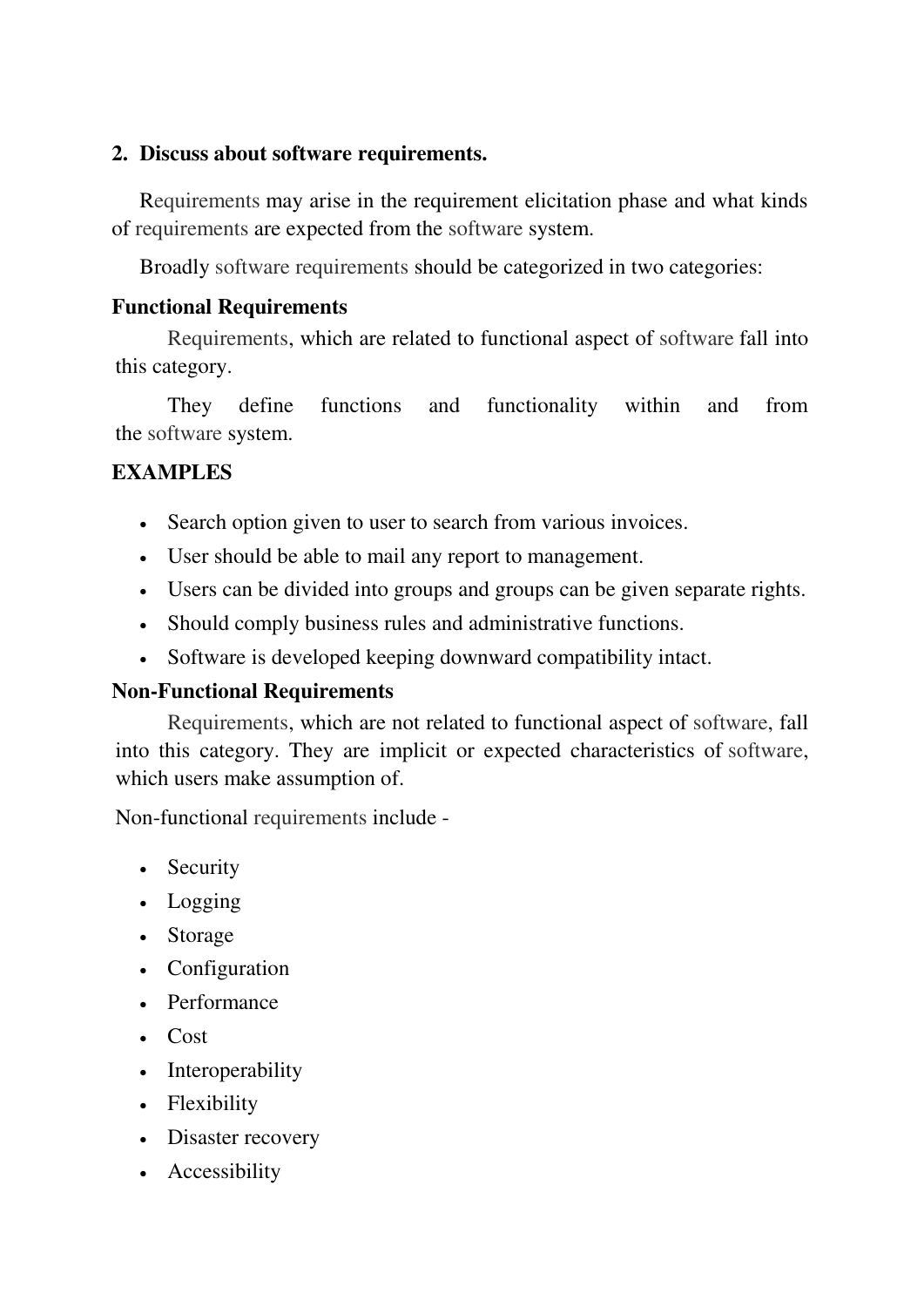## **2. Discuss about software requirements.**

[Requirements](https://www.tutorialspoint.com/) may arise in the requirement elicitation phase and what kinds of [requirements](https://www.tutorialspoint.com/) are expected from the [software](https://www.tutorialspoint.com/) system.

Broadly [software requirements](https://www.tutorialspoint.com/) should be categorized in two categories:

# **Functional [Requirements](https://www.tutorialspoint.com/)**

[Requirements,](https://www.tutorialspoint.com/) which are related to functional aspect of [software](https://www.tutorialspoint.com/) fall into this category.

They define functions and functionality within and from the [software](https://www.tutorialspoint.com/) system.

# **EXAMPLES**

- Search option given to user to search from various invoices.
- User should be able to mail any report to management.
- Users can be divided into groups and groups can be given separate rights.
- Should comply business rules and administrative functions.
- [Software](https://www.tutorialspoint.com/) is developed keeping downward compatibility intact.

# **Non-Functional [Requirements](https://www.tutorialspoint.com/)**

[Requirements,](https://www.tutorialspoint.com/) which are not related to functional aspect of [software,](https://www.tutorialspoint.com/) fall into this category. They are implicit or expected characteristics of [software,](https://www.tutorialspoint.com/) which users make assumption of.

Non-functional [requirements](https://www.tutorialspoint.com/) include -

- Security
- Logging
- Storage
- Configuration
- Performance
- $\cdot$  Cost
- Interoperability
- Flexibility
- Disaster recovery
- Accessibility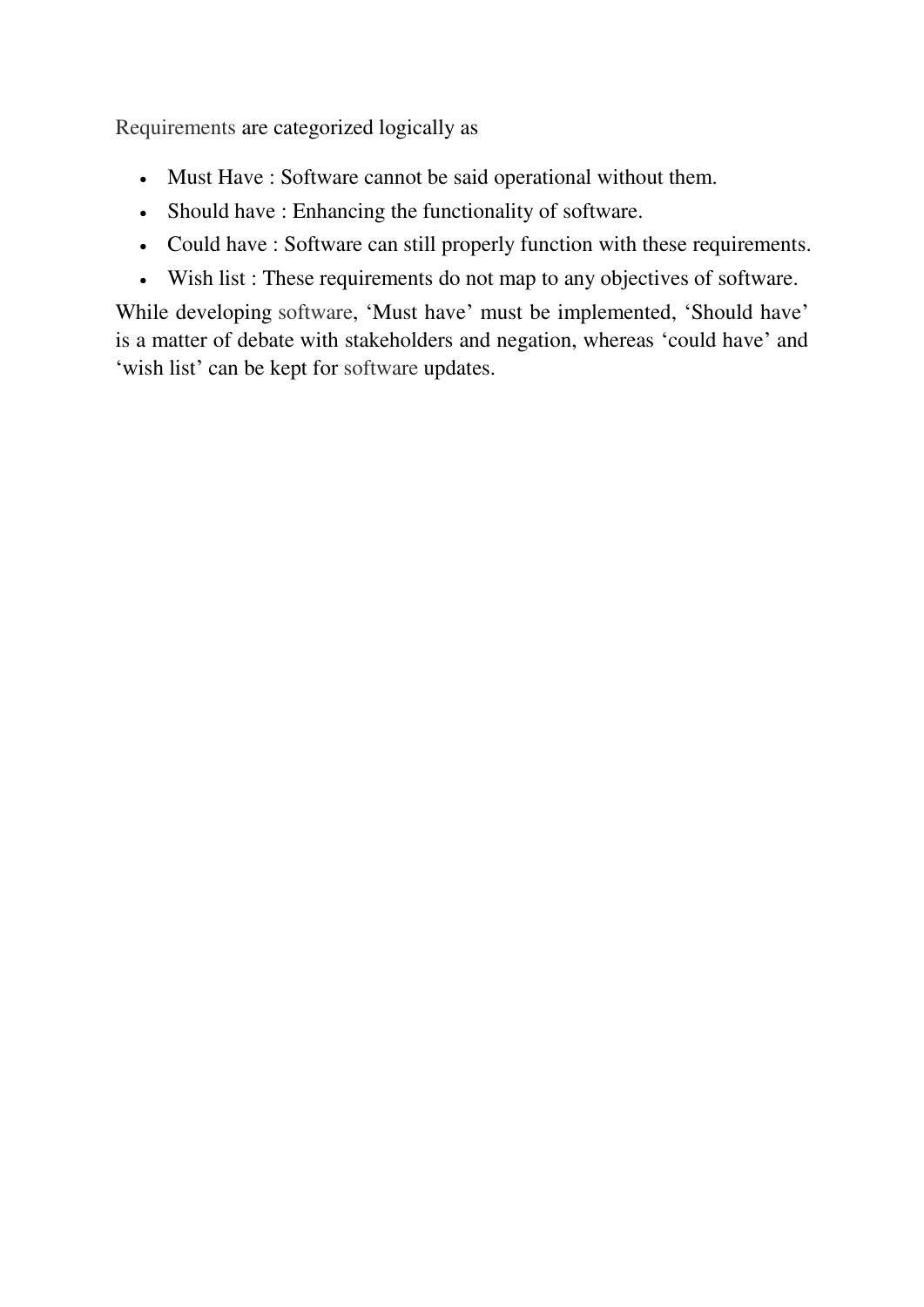[Requirements](https://www.tutorialspoint.com/) are categorized logically as

- Must Have : [Software](https://www.tutorialspoint.com/) cannot be said operational without them.
- Should have : Enhancing the functionality of [software.](https://www.tutorialspoint.com/)
- Could have : [Software](https://www.tutorialspoint.com/) can still properly function with these [requirements.](https://www.tutorialspoint.com/)
- Wish list : These [requirements](https://www.tutorialspoint.com/) do not map to any objectives of [software.](https://www.tutorialspoint.com/)

While developing [software,](https://www.tutorialspoint.com/) 'Must have' must be implemented, 'Should have' is a matter of debate with stakeholders and negation, whereas 'could have' and 'wish list' can be kept for [software](https://www.tutorialspoint.com/) updates.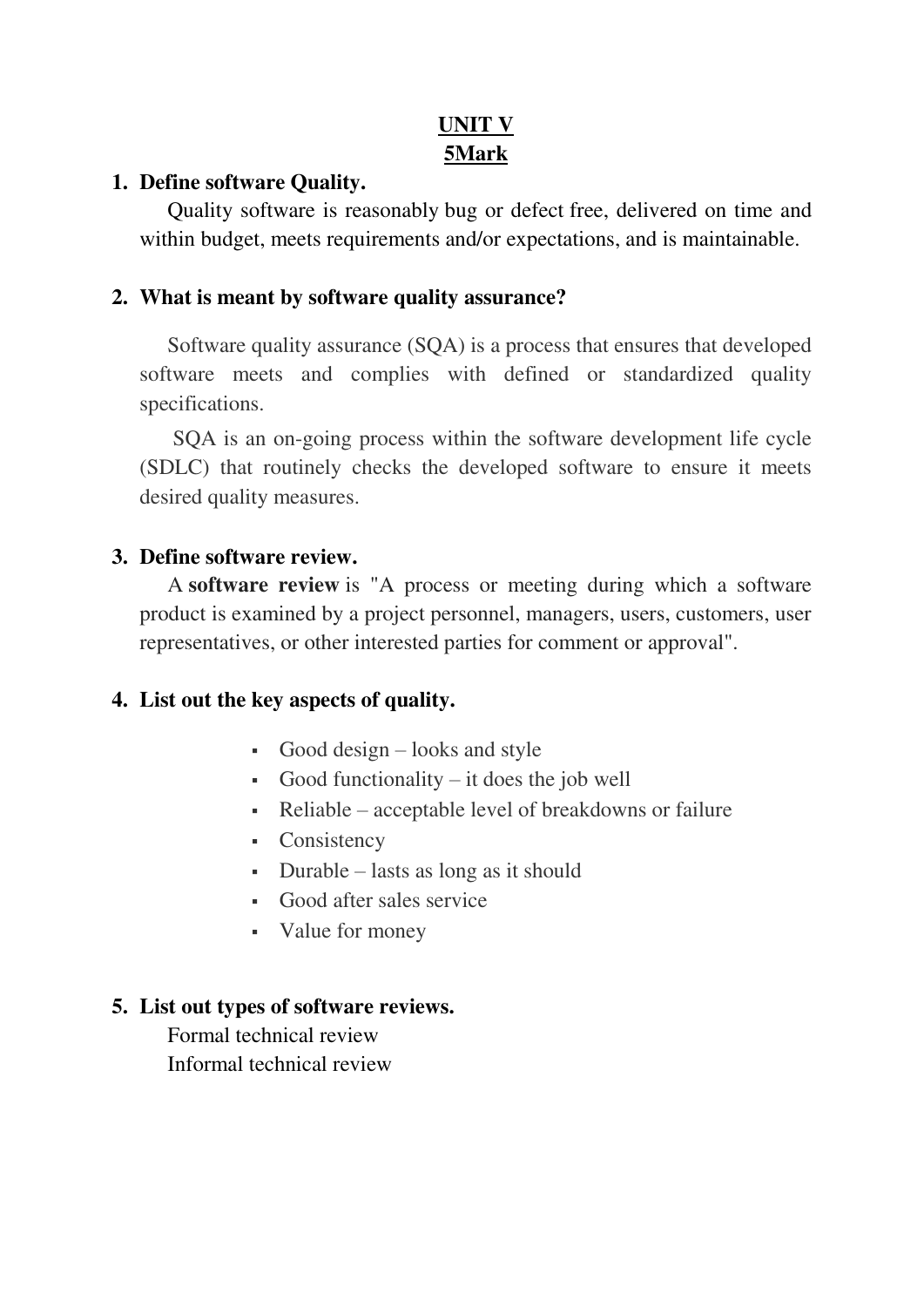# **UNIT V 5Mark**

## **1. Define software Quality.**

Quality software is reasonably [bug or defect](http://istqbexamcertification.com/what-is-defect-or-bugs-or-faults-in-software-testing/) free, delivered on time and within budget, meets requirements and/or expectations, and is maintainable.

# **2. What is meant by software quality assurance?**

Software quality assurance (SQA) is a process that ensures that developed software meets and complies with defined or standardized quality specifications.

 SQA is an on-going process within the software development life cycle (SDLC) that routinely checks the developed software to ensure it meets desired quality measures.

# **3. Define software review.**

A **software review** is "A process or meeting during which a software product is examined by a project personnel, managers, users, customers, user representatives, or other interested parties for comment or approval".

# **4. List out the key aspects of quality.**

- Good design  $-$  looks and style
- Good functionality it does the job well
- Reliable acceptable level of breakdowns or failure
- Consistency
- Durable lasts as long as it should
- Good after sales service
- Value for money

# **5. List out types of software reviews.**

Formal technical review Informal technical review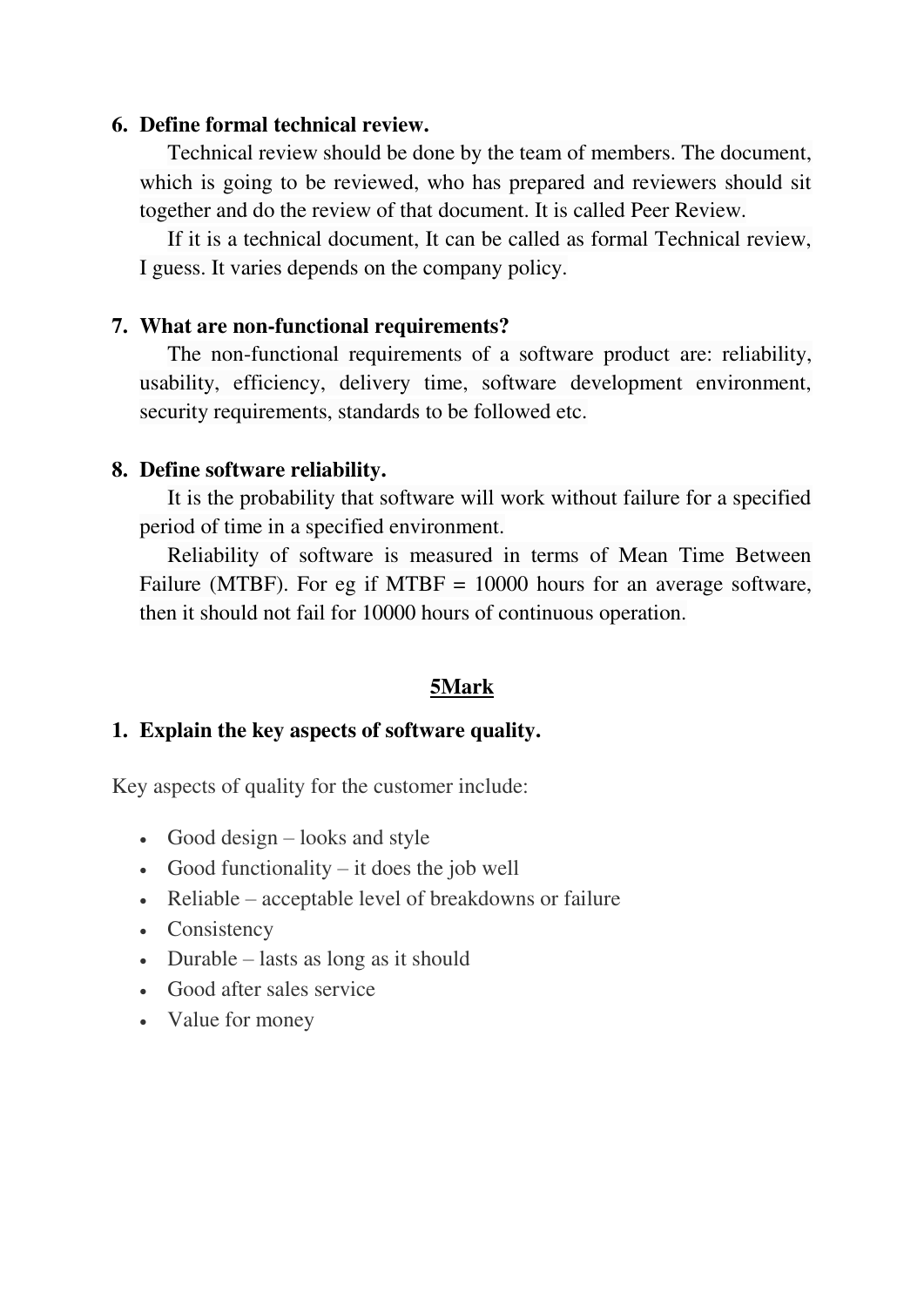### **6. Define formal technical review.**

Technical review should be done by the team of members. The document, which is going to be reviewed, who has prepared and reviewers should sit together and do the review of that document. It is called Peer Review.

If it is a technical document, It can be called as formal Technical review, I guess. It varies depends on the company policy.

## **7. What are non-functional requirements?**

The non-functional requirements of a software product are: reliability, usability, efficiency, delivery time, software development environment, security requirements, standards to be followed etc.

## **8. Define software reliability.**

It is the probability that software will work without failure for a specified period of time in a specified environment.

Reliability of software is measured in terms of Mean Time Between Failure (MTBF). For eg if MTBF = 10000 hours for an average software, then it should not fail for 10000 hours of continuous operation.

## **5Mark**

#### **1. Explain the key aspects of software quality.**

Key aspects of quality for the customer include:

- Good design  $-$  looks and style
- Good functionality it does the job well
- Reliable acceptable level of breakdowns or failure
- Consistency
- $\bullet$  Durable lasts as long as it should
- Good after sales service
- Value for money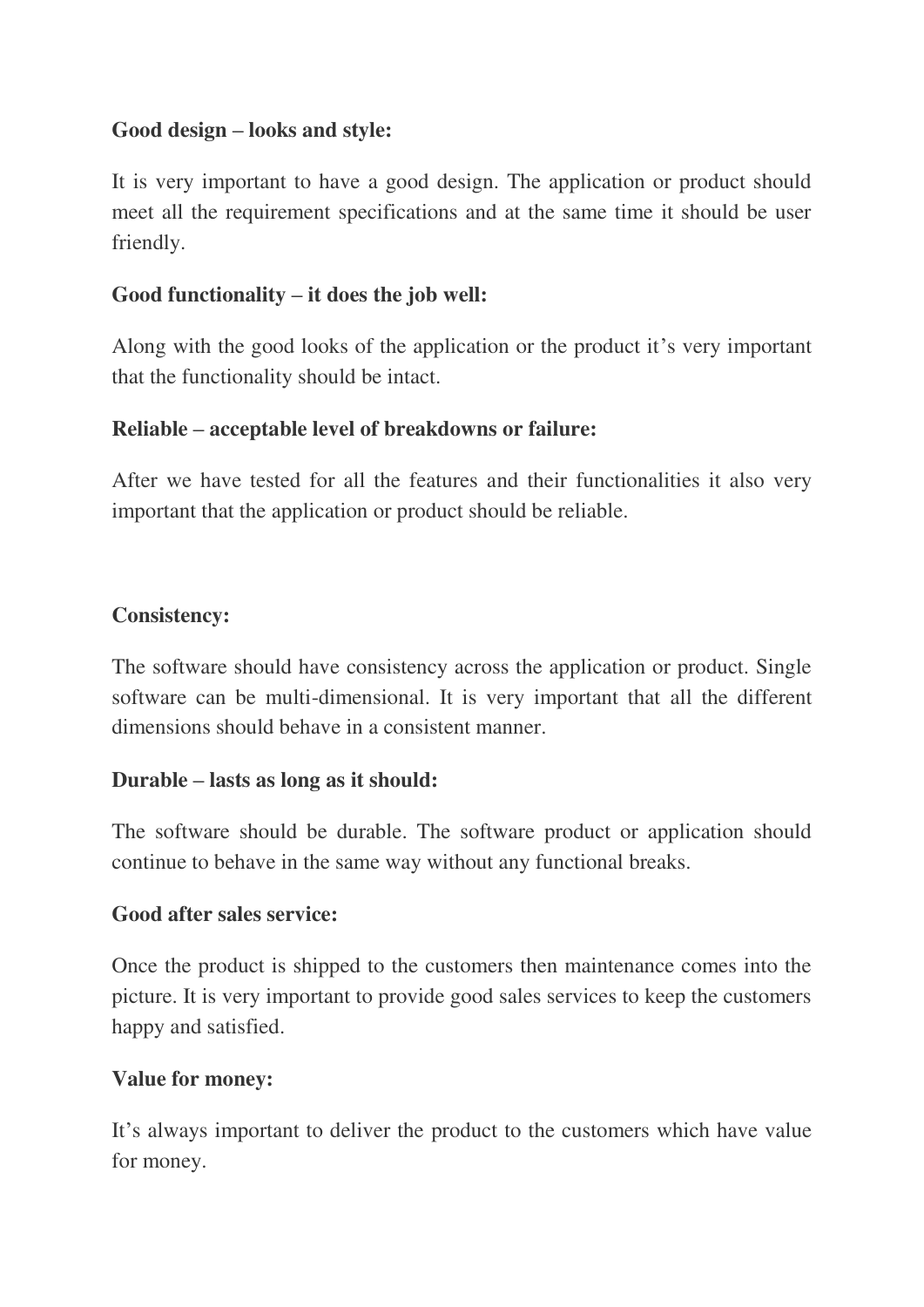## **Good design – looks and style:**

It is very important to have a good design. The application or product should meet all the requirement specifications and at the same time it should be user friendly.

# **Good functionality – it does the job well:**

Along with the good looks of the application or the product it's very important that the functionality should be intact.

# **Reliable – acceptable level of breakdowns or failure:**

After we have tested for all the features and their functionalities it also very important that the application or product should be reliable.

# **Consistency:**

The software should have consistency across the application or product. Single software can be multi-dimensional. It is very important that all the different dimensions should behave in a consistent manner.

# **Durable – lasts as long as it should:**

The software should be durable. The software product or application should continue to behave in the same way without any functional breaks.

## **Good after sales service:**

Once the product is shipped to the customers then maintenance comes into the picture. It is very important to provide good sales services to keep the customers happy and satisfied.

## **Value for money:**

It's always important to deliver the product to the customers which have value for money.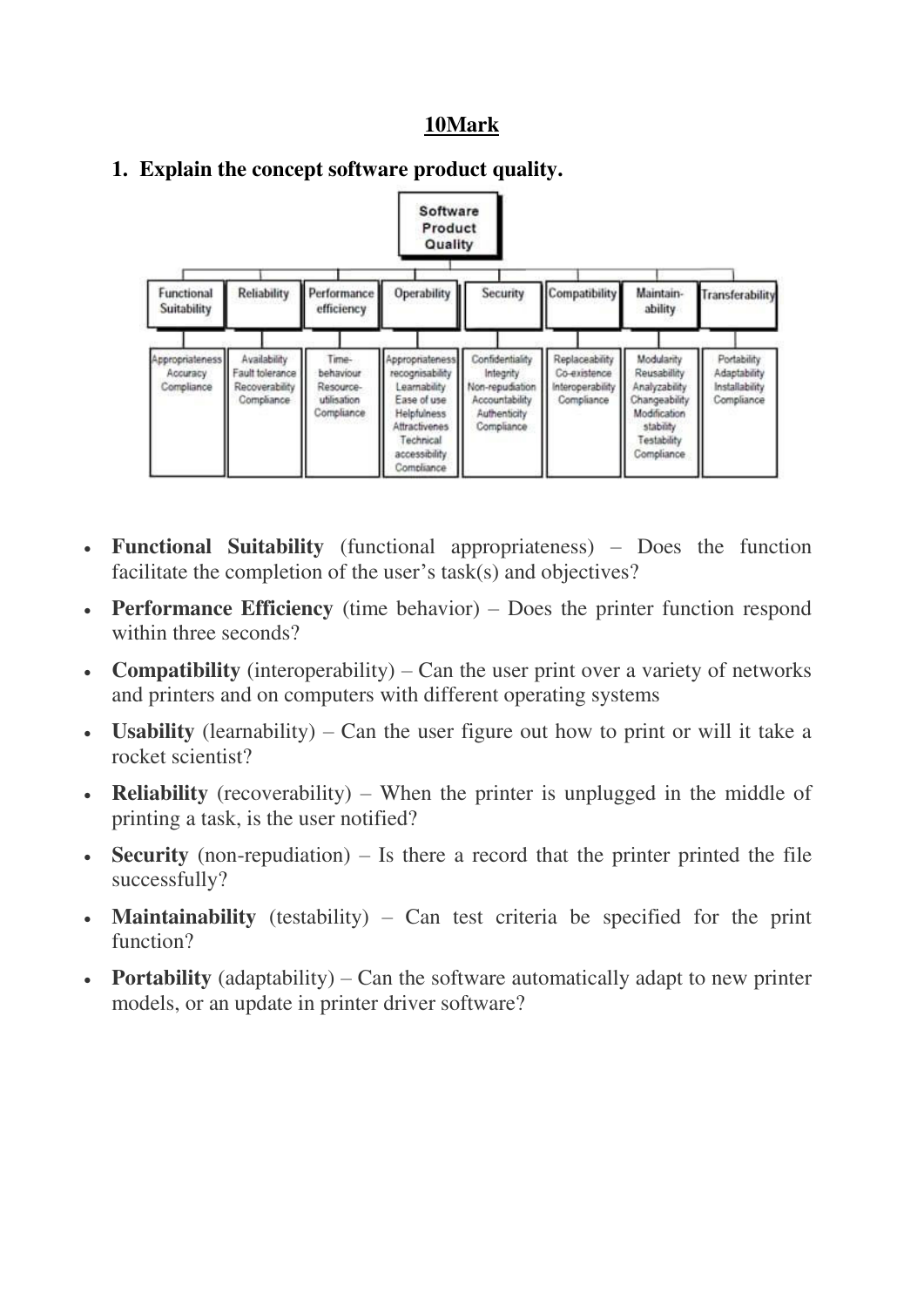## **10Mark**



#### **1. Explain the concept software product quality.**

- **Functional Suitability** (functional appropriateness) Does the function facilitate the completion of the user's task(s) and objectives?
- **Performance Efficiency** (time behavior) Does the printer function respond within three seconds?
- **Compatibility** (interoperability) Can the user print over a variety of networks and printers and on computers with different operating systems
- **Usability** (learnability) Can the user figure out how to print or will it take a rocket scientist?
- **Reliability** (recoverability) When the printer is unplugged in the middle of printing a task, is the user notified?
- **Security** (non-repudiation) Is there a record that the printer printed the file successfully?
- **Maintainability** (testability) Can test criteria be specified for the print function?
- **Portability** (adaptability) Can the software automatically adapt to new printer models, or an update in printer driver software?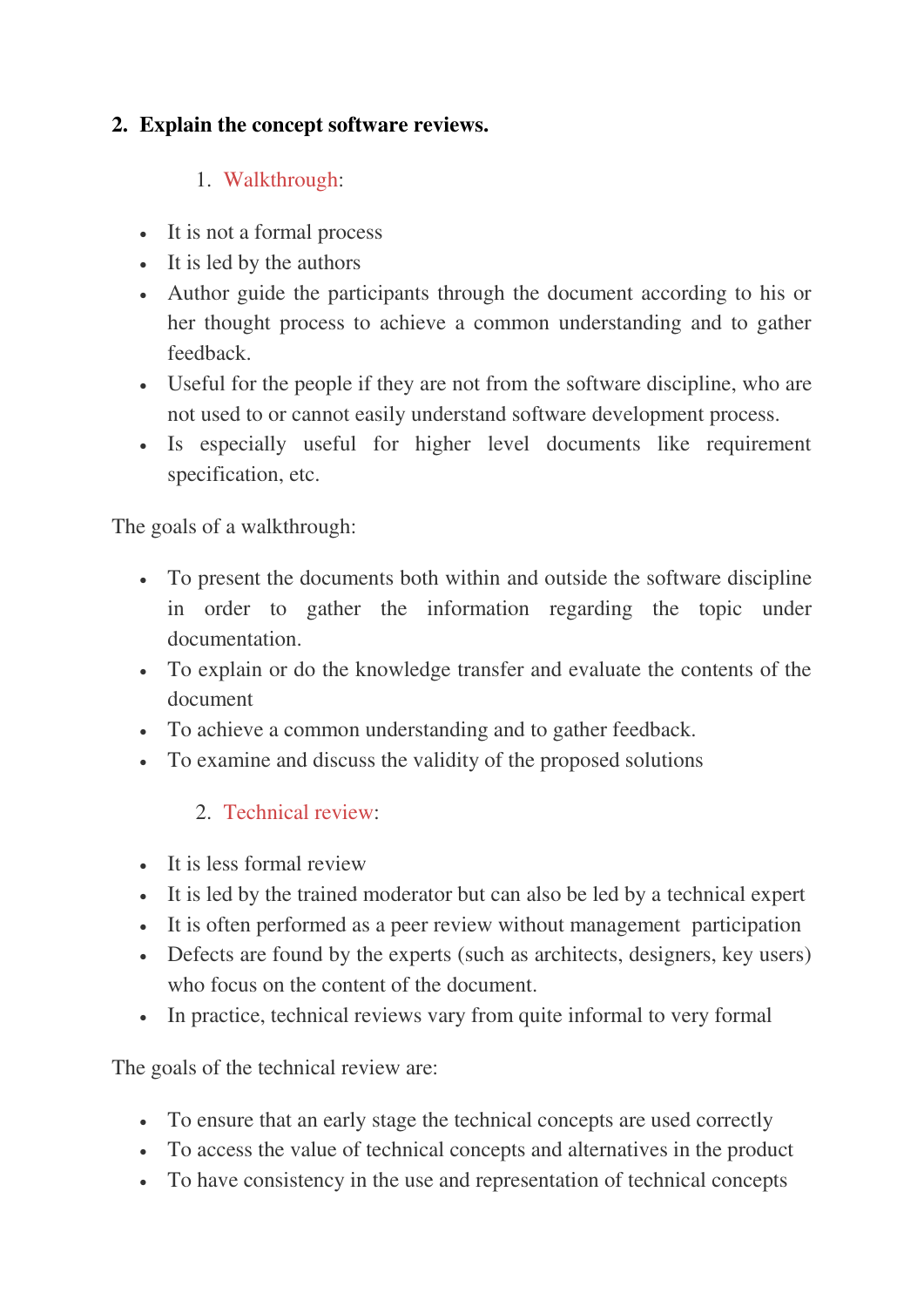# **2. Explain the concept software reviews.**

# 1. [Walkthrough:](http://istqbexamcertification.com/what-is-walkthrough-in-software-testing/)

- It is not a formal process
- It is led by the authors
- Author guide the participants through the document according to his or her thought process to achieve a common understanding and to gather feedback.
- Useful for the people if they are not from the software discipline, who are not used to or cannot easily understand software development process.
- Is especially useful for higher level documents like requirement specification, etc.

The goals of a walkthrough:

- To present the documents both within and outside the software discipline in order to gather the information regarding the topic under documentation.
- To explain or do the knowledge transfer and evaluate the contents of the document
- To achieve a common understanding and to gather feedback.
- To examine and discuss the validity of the proposed solutions

# 2. [Technical review:](http://istqbexamcertification.com/what-is-technical-review-in-software-testing/)

- It is less formal review
- It is led by the trained moderator but can also be led by a technical expert
- It is often performed as a peer review without management participation
- Defects are found by the experts (such as architects, designers, key users) who focus on the content of the document.
- In practice, technical reviews vary from quite informal to very formal

The goals of the technical review are:

- To ensure that an early stage the technical concepts are used correctly
- To access the value of technical concepts and alternatives in the product
- To have consistency in the use and representation of technical concepts